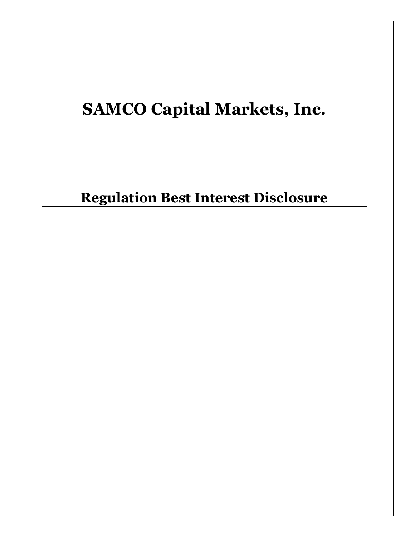# **SAMCO Capital Markets, Inc.**

**Regulation Best Interest Disclosure**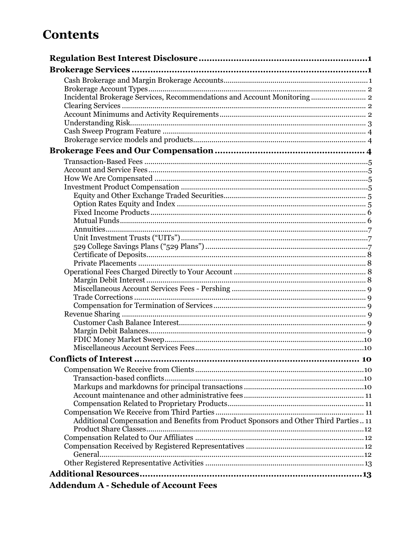## **Contents**

| Incidental Brokerage Services, Recommendations and Account Monitoring 2               |  |
|---------------------------------------------------------------------------------------|--|
|                                                                                       |  |
|                                                                                       |  |
|                                                                                       |  |
|                                                                                       |  |
|                                                                                       |  |
|                                                                                       |  |
|                                                                                       |  |
|                                                                                       |  |
|                                                                                       |  |
|                                                                                       |  |
|                                                                                       |  |
|                                                                                       |  |
|                                                                                       |  |
|                                                                                       |  |
|                                                                                       |  |
|                                                                                       |  |
|                                                                                       |  |
|                                                                                       |  |
|                                                                                       |  |
|                                                                                       |  |
|                                                                                       |  |
|                                                                                       |  |
|                                                                                       |  |
|                                                                                       |  |
|                                                                                       |  |
|                                                                                       |  |
|                                                                                       |  |
|                                                                                       |  |
|                                                                                       |  |
|                                                                                       |  |
|                                                                                       |  |
|                                                                                       |  |
|                                                                                       |  |
|                                                                                       |  |
|                                                                                       |  |
| Additional Compensation and Benefits from Product Sponsors and Other Third Parties 11 |  |
|                                                                                       |  |
|                                                                                       |  |
|                                                                                       |  |
|                                                                                       |  |
|                                                                                       |  |
|                                                                                       |  |
| <b>Addendum A - Schedule of Account Fees</b>                                          |  |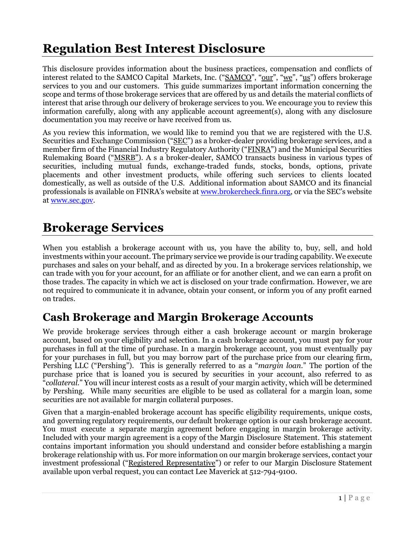## <span id="page-2-0"></span>**Regulation Best Interest Disclosure**

This disclosure provides information about the business practices, compensation and conflicts of interest related to the SAMCO Capital Markets, Inc. ("SAMCO", "our", "we", "us") offers brokerage services to you and our customers. This guide summarizes important information concerning the scope and terms of those brokerage services that are offered by us and details the material conflicts of interest that arise through our delivery of brokerage services to you. We encourage you to review this information carefully, along with any applicable account agreement(s), along with any disclosure documentation you may receive or have received from us.

As you review this information, we would like to remind you that we are registered with the U.S. Securities and Exchange Commission ("SEC") as a broker-dealer providing brokerage services, and a member firm of the Financial Industry Regulatory Authority ("FINRA") and the Municipal Securities Rulemaking Board ("MSRB"). A s a broker-dealer, SAMCO transacts business in various types of securities, including mutual funds, exchange-traded funds, stocks, bonds, options, private placements and other investment products, while offering such services to clients located domestically, as well as outside of the U.S. Additional information about SAMCO and its financial professionals is available on FINRA's website at [www.brokercheck.finra.org](file://///FS2/Resources%20&%20Research/Regulation%20Best%20Interst%20(BI)/Regulation%20BI/Reg%20BI%20Disclosure%20Document/www.brokercheck.finra.org), or via the SEC's website at [www.sec.gov.](http://www.sec.gov/)

## <span id="page-2-1"></span>**Brokerage Services**

When you establish a brokerage account with us, you have the ability to, buy, sell, and hold investments within your account. The primary service we provide is our trading capability. We execute purchases and sales on your behalf, and as directed by you. In a brokerage services relationship, we can trade with you for your account, for an affiliate or for another client, and we can earn a profit on those trades. The capacity in which we act is disclosed on your trade confirmation. However, we are not required to communicate it in advance, obtain your consent, or inform you of any profit earned on trades.

## <span id="page-2-2"></span>**Cash Brokerage and Margin Brokerage Accounts**

We provide brokerage services through either a cash brokerage account or margin brokerage account, based on your eligibility and selection. In a cash brokerage account, you must pay for your purchases in full at the time of purchase. In a margin brokerage account, you must eventually pay for your purchases in full, but you may borrow part of the purchase price from our clearing firm, Pershing LLC ("Pershing"). This is generally referred to as a "*margin loan*." The portion of the purchase price that is loaned you is secured by securities in your account, also referred to as "*collateral.*" You will incur interest costs as a result of your margin activity, which will be determined by Pershing. While many securities are eligible to be used as collateral for a margin loan, some securities are not available for margin collateral purposes.

Given that a margin-enabled brokerage account has specific eligibility requirements, unique costs, and governing regulatory requirements, our default brokerage option is our cash brokerage account. You must execute a separate margin agreement before engaging in margin brokerage activity. Included with your margin agreement is a copy of the Margin Disclosure Statement. This statement contains important information you should understand and consider before establishing a margin brokerage relationship with us. For more information on our margin brokerage services, contact your investment professional ("Registered Representative") or refer to our Margin Disclosure Statement available upon verbal request, you can contact Lee Maverick at 512-794-9100.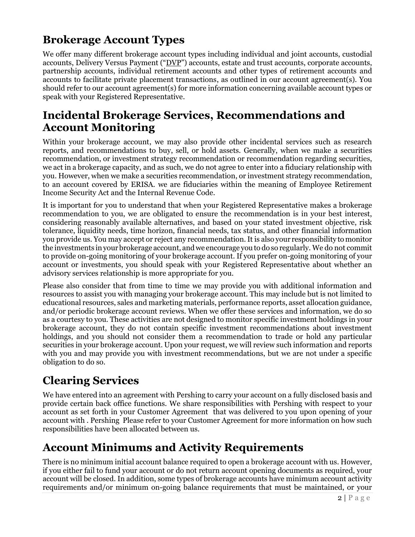## <span id="page-3-0"></span>**Brokerage Account Types**

We offer many different brokerage account types including individual and joint accounts, custodial accounts, Delivery Versus Payment ("DVP") accounts, estate and trust accounts, corporate accounts, partnership accounts, individual retirement accounts and other types of retirement accounts and accounts to facilitate private placement transactions, as outlined in our account agreement(s). You should refer to our account agreement(s) for more information concerning available account types or speak with your Registered Representative.

## <span id="page-3-1"></span>**Incidental Brokerage Services, Recommendations and Account Monitoring**

Within your brokerage account, we may also provide other incidental services such as research reports, and recommendations to buy, sell, or hold assets. Generally, when we make a securities recommendation, or investment strategy recommendation or recommendation regarding securities, we act in a brokerage capacity, and as such, we do not agree to enter into a fiduciary relationship with you. However, when we make a securities recommendation, or investment strategy recommendation, to an account covered by ERISA. we are fiduciaries within the meaning of Employee Retirement Income Security Act and the Internal Revenue Code.

It is important for you to understand that when your Registered Representative makes a brokerage recommendation to you, we are obligated to ensure the recommendation is in your best interest, considering reasonably available alternatives, and based on your stated investment objective, risk tolerance, liquidity needs, time horizon, financial needs, tax status, and other financial information you provide us. You may accept or reject any recommendation. It is also your responsibility to monitor the investments in your brokerage account, and we encourage you to do so regularly. We do not commit to provide on-going monitoring of your brokerage account. If you prefer on-going monitoring of your account or investments, you should speak with your Registered Representative about whether an advisory services relationship is more appropriate for you.

Please also consider that from time to time we may provide you with additional information and resources to assist you with managing your brokerage account. This may include but is not limited to educational resources, sales and marketing materials, performance reports, asset allocation guidance, and/or periodic brokerage account reviews. When we offer these services and information, we do so as a courtesy to you. These activities are not designed to monitor specific investment holdings in your brokerage account, they do not contain specific investment recommendations about investment holdings, and you should not consider them a recommendation to trade or hold any particular securities in your brokerage account. Upon your request, we will review such information and reports with you and may provide you with investment recommendations, but we are not under a specific obligation to do so.

## <span id="page-3-2"></span>**Clearing Services**

We have entered into an agreement with Pershing to carry your account on a fully disclosed basis and provide certain back office functions. We share responsibilities with Pershing with respect to your account as set forth in your Customer Agreement that was delivered to you upon opening of your account with . Pershing Please refer to your Customer Agreement for more information on how such responsibilities have been allocated between us.

## <span id="page-3-3"></span>**Account Minimums and Activity Requirements**

There is no minimum initial account balance required to open a brokerage account with us. However, if you either fail to fund your account or do not return account opening documents as required, your account will be closed. In addition, some types of brokerage accounts have minimum account activity requirements and/or minimum on-going balance requirements that must be maintained, or your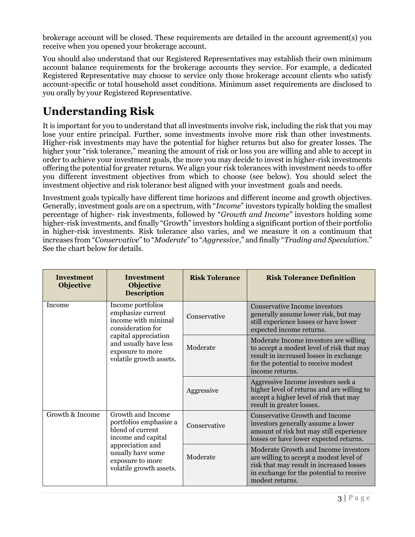brokerage account will be closed. These requirements are detailed in the account agreement(s) you receive when you opened your brokerage account.

You should also understand that our Registered Representatives may establish their own minimum account balance requirements for the brokerage accounts they service. For example, a dedicated Registered Representative may choose to service only those brokerage account clients who satisfy account-specific or total household asset conditions. Minimum asset requirements are disclosed to you orally by your Registered Representative.

## <span id="page-4-0"></span>**Understanding Risk**

It is important for you to understand that all investments involve risk, including the risk that you may lose your entire principal. Further, some investments involve more risk than other investments. Higher-risk investments may have the potential for higher returns but also for greater losses. The higher your "risk tolerance," meaning the amount of risk or loss you are willing and able to accept in order to achieve your investment goals, the more you may decide to invest in higher-risk investments offering the potential for greater returns. We align your risk tolerances with investment needs to offer you different investment objectives from which to choose (see below). You should select the investment objective and risk tolerance best aligned with your investment goals and needs.

Investment goals typically have different time horizons and different income and growth objectives. Generally, investment goals are on a spectrum, with "*Income*" investors typically holding the smallest percentage of higher- risk investments, followed by "*Growth and Income"* investors holding some higher-risk investments, and finally "Growth" investors holding a significant portion of their portfolio in higher-risk investments. Risk tolerance also varies, and we measure it on a continuum that increases from "*Conservative*" to "*Moderate*" to "*Aggressive*," and finally "*Trading and Speculation*." See the chart below for details.

| <b>Investment</b><br><b>Objective</b>                                                                                                                                                            | <b>Investment</b><br><b>Objective</b><br><b>Description</b> | <b>Risk Tolerance</b>                                                                                                                                                                  | <b>Risk Tolerance Definition</b>                                                                                                                                                           |
|--------------------------------------------------------------------------------------------------------------------------------------------------------------------------------------------------|-------------------------------------------------------------|----------------------------------------------------------------------------------------------------------------------------------------------------------------------------------------|--------------------------------------------------------------------------------------------------------------------------------------------------------------------------------------------|
| Income portfolios<br>Income<br>emphasize current<br>income with minimal<br>consideration for<br>capital appreciation<br>and usually have less<br>exposure to more<br>volatile growth assets.     |                                                             | Conservative                                                                                                                                                                           | <b>Conservative Income investors</b><br>generally assume lower risk, but may<br>still experience losses or have lower<br>expected income returns.                                          |
|                                                                                                                                                                                                  | Moderate                                                    | Moderate Income investors are willing<br>to accept a modest level of risk that may<br>result in increased losses in exchange<br>for the potential to receive modest<br>income returns. |                                                                                                                                                                                            |
|                                                                                                                                                                                                  | Aggressive                                                  | Aggressive Income investors seek a<br>higher level of returns and are willing to<br>accept a higher level of risk that may<br>result in greater losses.                                |                                                                                                                                                                                            |
| Growth and Income<br>Growth & Income<br>portfolios emphasize a<br>blend of current<br>income and capital<br>appreciation and<br>usually have some<br>exposure to more<br>volatile growth assets. | Conservative                                                | <b>Conservative Growth and Income</b><br>investors generally assume a lower<br>amount of risk but may still experience<br>losses or have lower expected returns.                       |                                                                                                                                                                                            |
|                                                                                                                                                                                                  |                                                             | Moderate                                                                                                                                                                               | Moderate Growth and Income investors<br>are willing to accept a modest level of<br>risk that may result in increased losses<br>in exchange for the potential to receive<br>modest returns. |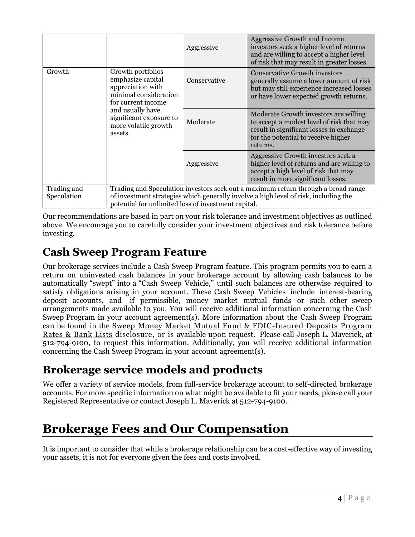|                            |                                                                                                                                                                                                                                  | Aggressive   | <b>Aggressive Growth and Income</b><br>investors seek a higher level of returns<br>and are willing to accept a higher level<br>of risk that may result in greater losses.         |
|----------------------------|----------------------------------------------------------------------------------------------------------------------------------------------------------------------------------------------------------------------------------|--------------|-----------------------------------------------------------------------------------------------------------------------------------------------------------------------------------|
| Growth                     | Growth portfolios<br>emphasize capital<br>appreciation with<br>minimal consideration<br>for current income                                                                                                                       | Conservative | <b>Conservative Growth investors</b><br>generally assume a lower amount of risk<br>but may still experience increased losses<br>or have lower expected growth returns.            |
| assets.                    | and usually have<br>significant exposure to<br>more volatile growth                                                                                                                                                              | Moderate     | Moderate Growth investors are willing<br>to accept a modest level of risk that may<br>result in significant losses in exchange<br>for the potential to receive higher<br>returns. |
|                            |                                                                                                                                                                                                                                  | Aggressive   | Aggressive Growth investors seek a<br>higher level of returns and are willing to<br>accept a high level of risk that may<br>result in more significant losses.                    |
| Trading and<br>Speculation | Trading and Speculation investors seek out a maximum return through a broad range<br>of investment strategies which generally involve a high level of risk, including the<br>potential for unlimited loss of investment capital. |              |                                                                                                                                                                                   |

Our recommendations are based in part on your risk tolerance and investment objectives as outlined above. We encourage you to carefully consider your investment objectives and risk tolerance before investing.

## <span id="page-5-0"></span>**Cash Sweep Program Feature**

Our brokerage services include a Cash Sweep Program feature. This program permits you to earn a return on uninvested cash balances in your brokerage account by allowing cash balances to be automatically "swept" into a "Cash Sweep Vehicle," until such balances are otherwise required to satisfy obligations arising in your account. These Cash Sweep Vehicles include interest-bearing deposit accounts, and if permissible, money market mutual funds or such other sweep arrangements made available to you. You will receive additional information concerning the Cash Sweep Program in your account agreement(s). More information about the Cash Sweep Program can be found in the [Sweep Money Market Mutual Fund & FDIC-Insured Deposits Program](https://www.pershing.com/rates)  [Rates & Bank Lists](https://www.pershing.com/rates) disclosure, or is available upon request. Please call Joseph L. Maverick, at 512-794-9100, to request this information. Additionally, you will receive additional information concerning the Cash Sweep Program in your account agreement(s).

## <span id="page-5-1"></span>**Brokerage service models and products**

We offer a variety of service models, from full-service brokerage account to self-directed brokerage accounts. For more specific information on what might be available to fit your needs, please call your Registered Representative or contact Joseph L. Maverick at 512-794-9100.

## <span id="page-5-2"></span>**Brokerage Fees and Our Compensation**

It is important to consider that while a brokerage relationship can be a cost-effective way of investing your assets, it is not for everyone given the fees and costs involved.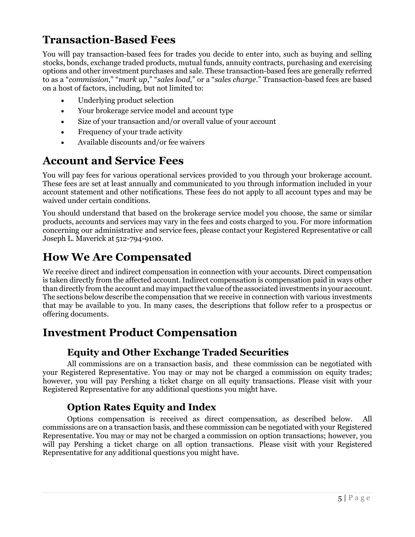## <span id="page-6-0"></span>**Transaction-Based Fees**

You will pay transaction-based fees for trades you decide to enter into, such as buying and selling stocks, bonds, exchange traded products, mutual funds, annuity contracts, purchasing and exercising options and other investment purchases and sale. These transaction-based fees are generally referred to as a "*commission*," "*mark up*," "*sales load*," or a "*sales charge*." Transaction-based fees are based on a host of factors, including, but not limited to:

- Underlying product selection
- Your brokerage service model and account type
- Size of your transaction and/or overall value of your account
- Frequency of your trade activity
- Available discounts and/or fee waivers

## <span id="page-6-1"></span>**Account and Service Fees**

You will pay fees for various operational services provided to you through your brokerage account. These fees are set at least annually and communicated to you through information included in your account statement and other notifications. These fees do not apply to all account types and may be waived under certain conditions.

You should understand that based on the brokerage service model you choose, the same or similar products, accounts and services may vary in the fees and costs charged to you. For more information concerning our administrative and service fees, please contact your Registered Representative or call Joseph L. Maverick at 512-794-9100.

## <span id="page-6-2"></span>**How We Are Compensated**

We receive direct and indirect compensation in connection with your accounts. Direct compensation is taken directly from the affected account. Indirect compensation is compensation paid in ways other than directly from the account and may impactthe value ofthe associated investments inyour account. The sections below describe the compensation that we receive in connection with various investments that may be available to you. In many cases, the descriptions that follow refer to a prospectus or offering documents.

## <span id="page-6-4"></span><span id="page-6-3"></span>**Investment Product Compensation**

#### **Equity and Other Exchange Traded Securities**

All commissions are on a transaction basis, and these commission can be negotiated with your Registered Representative. You may or may not be charged a commission on equity trades; however, you will pay Pershing a ticket charge on all equity transactions. Please visit with your Registered Representative for any additional questions you might have.

#### **Option Rates Equity and Index**

<span id="page-6-5"></span>Options compensation is received as direct compensation, as described below. All commissions are on a transaction basis, and these commission can be negotiated with your Registered Representative. You may or may not be charged a commission on option transactions; however, you will pay Pershing a ticket charge on all option transactions. Please visit with your Registered Representative for any additional questions you might have.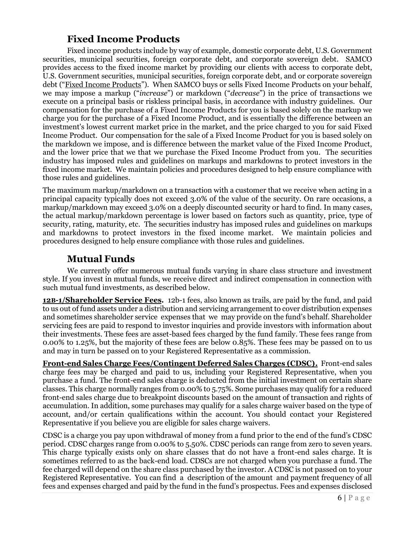#### **Fixed Income Products**

<span id="page-7-0"></span>Fixed income products include by way of example, domestic corporate debt, U.S. Government securities, municipal securities, foreign corporate debt, and corporate sovereign debt. SAMCO provides access to the fixed income market by providing our clients with access to corporate debt, U.S. Government securities, municipal securities, foreign corporate debt, and or corporate sovereign debt ("Fixed Income Products"). When SAMCO buys or sells Fixed Income Products on your behalf, we may impose a markup ("*increase*") or markdown ("*decrease*") in the price of transactions we execute on a principal basis or riskless principal basis, in accordance with industry guidelines. Our compensation for the purchase of a Fixed Income Products for you is based solely on the markup we charge you for the purchase of a Fixed Income Product, and is essentially the difference between an investment's lowest current market price in the market, and the price charged to you for said Fixed Income Product. Our compensation for the sale of a Fixed Income Product for you is based solely on the markdown we impose, and is difference between the market value of the Fixed Income Product, and the lower price that we that we purchase the Fixed Income Product from you. The securities industry has imposed rules and guidelines on markups and markdowns to protect investors in the fixed income market. We maintain policies and procedures designed to help ensure compliance with those rules and guidelines.

The maximum markup/markdown on a transaction with a customer that we receive when acting in a principal capacity typically does not exceed 3.0% of the value of the security. On rare occasions, a markup/markdown may exceed 3.0% on a deeply discounted security or hard to find. In many cases, the actual markup/markdown percentage is lower based on factors such as quantity, price, type of security, rating, maturity, etc. The securities industry has imposed rules and guidelines on markups and markdowns to protect investors in the fixed income market. We maintain policies and procedures designed to help ensure compliance with those rules and guidelines.

#### **Mutual Funds**

<span id="page-7-1"></span>We currently offer numerous mutual funds varying in share class structure and investment style. If you invest in mutual funds, we receive direct and indirect compensation in connection with such mutual fund investments, as described below.

**12B-1/Shareholder Service Fees.** 12b-1 fees, also known as trails, are paid by the fund, and paid to us out of fund assets under a distribution and servicing arrangement to cover distribution expenses and sometimes shareholder service expenses that we may provide on the fund's behalf. Shareholder servicing fees are paid to respond to investor inquiries and provide investors with information about their investments. These fees are asset-based fees charged by the fund family. These fees range from 0.00% to 1.25%, but the majority of these fees are below 0.85%. These fees may be passed on to us and may in turn be passed on to your Registered Representative as a commission.

**Front-end Sales Charge Fees/Contingent Deferred Sales Charges (CDSC).** Front-end sales charge fees may be charged and paid to us, including your Registered Representative, when you purchase a fund. The front-end sales charge is deducted from the initial investment on certain share classes. This charge normally ranges from 0.00% to 5.75%. Some purchases may qualify for a reduced front-end sales charge due to breakpoint discounts based on the amount of transaction and rights of accumulation. In addition, some purchases may qualify for a sales charge waiver based on the type of account, and/or certain qualifications within the account. You should contact your Registered Representative if you believe you are eligible for sales charge waivers.

CDSC is a charge you pay upon withdrawal of money from a fund prior to the end of the fund's CDSC period. CDSC charges range from 0.00% to 5.50%. CDSC periods can range from zero to seven years. This charge typically exists only on share classes that do not have a front-end sales charge. It is sometimes referred to as the back-end load. CDSCs are not charged when you purchase a fund. The fee charged will depend on the share class purchased by the investor. A CDSC is not passed on to your Registered Representative. You can find a description of the amount and payment frequency of all fees and expenses charged and paid by the fund in the fund's prospectus. Fees and expenses disclosed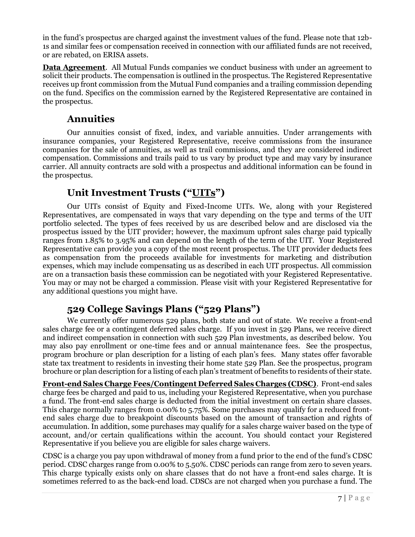in the fund's prospectus are charged against the investment values of the fund. Please note that 12b-1s and similar fees or compensation received in connection with our affiliated funds are not received, or are rebated, on ERISA assets.

**Data Agreement**. All Mutual Funds companies we conduct business with under an agreement to solicit their products. The compensation is outlined in the prospectus. The Registered Representative receives up front commission from the Mutual Fund companies and a trailing commission depending on the fund. Specifics on the commission earned by the Registered Representative are contained in the prospectus.

#### **Annuities**

<span id="page-8-0"></span>Our annuities consist of fixed, index, and variable annuities. Under arrangements with insurance companies, your Registered Representative, receive commissions from the insurance companies for the sale of annuities, as well as trail commissions, and they are considered indirect compensation. Commissions and trails paid to us vary by product type and may vary by insurance carrier. All annuity contracts are sold with a prospectus and additional information can be found in the prospectus.

#### **Unit Investment Trusts ("UITs")**

<span id="page-8-1"></span>Our UITs consist of Equity and Fixed-Income UITs. We, along with your Registered Representatives, are compensated in ways that vary depending on the type and terms of the UIT portfolio selected. The types of fees received by us are described below and are disclosed via the prospectus issued by the UIT provider; however, the maximum upfront sales charge paid typically ranges from 1.85% to 3.95% and can depend on the length of the term of the UIT. Your Registered Representative can provide you a copy of the most recent prospectus. The UIT provider deducts fees as compensation from the proceeds available for investments for marketing and distribution expenses, which may include compensating us as described in each UIT prospectus. All commission are on a transaction basis these commission can be negotiated with your Registered Representative. You may or may not be charged a commission. Please visit with your Registered Representative for any additional questions you might have.

### **529 College Savings Plans ("529 Plans")**

<span id="page-8-2"></span>We currently offer numerous 529 plans, both state and out of state. We receive a front-end sales charge fee or a contingent deferred sales charge. If you invest in 529 Plans, we receive direct and indirect compensation in connection with such 529 Plan investments, as described below. You may also pay enrollment or one-time fees and or annual maintenance fees. See the prospectus, program brochure or plan description for a listing of each plan's fees. Many states offer favorable state tax treatment to residents in investing their home state 529 Plan. See the prospectus, program brochure or plan description for a listing of each plan's treatment of benefits to residents of their state.

**Front-end Sales Charge Fees/Contingent Deferred Sales Charges (CDSC)**. Front-end sales charge fees be charged and paid to us, including your Registered Representative, when you purchase a fund. The front-end sales charge is deducted from the initial investment on certain share classes. This charge normally ranges from 0.00% to 5.75%. Some purchases may qualify for a reduced frontend sales charge due to breakpoint discounts based on the amount of transaction and rights of accumulation. In addition, some purchases may qualify for a sales charge waiver based on the type of account, and/or certain qualifications within the account. You should contact your Registered Representative if you believe you are eligible for sales charge waivers.

CDSC is a charge you pay upon withdrawal of money from a fund prior to the end of the fund's CDSC period. CDSC charges range from 0.00% to 5.50%. CDSC periods can range from zero to seven years. This charge typically exists only on share classes that do not have a front-end sales charge. It is sometimes referred to as the back-end load. CDSCs are not charged when you purchase a fund. The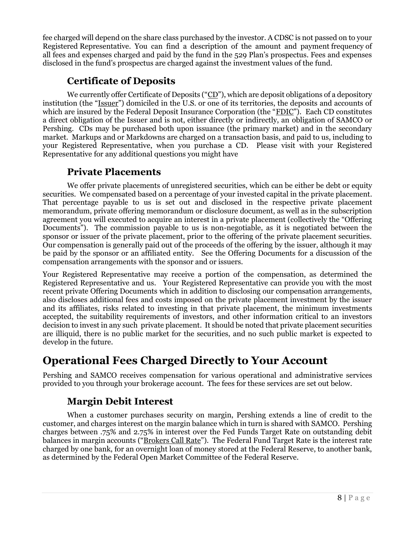fee charged will depend on the share class purchased by the investor. A CDSC is not passed on to your Registered Representative. You can find a description of the amount and payment frequency of all fees and expenses charged and paid by the fund in the 529 Plan's prospectus. Fees and expenses disclosed in the fund's prospectus are charged against the investment values of the fund.

#### **Certificate of Deposits**

<span id="page-9-0"></span>We currently offer Certificate of Deposits ("CD"), which are deposit obligations of a depository institution (the "Issuer") domiciled in the U.S. or one of its territories, the deposits and accounts of which are insured by the Federal Deposit Insurance Corporation (the "FDIC"). Each CD constitutes a direct obligation of the Issuer and is not, either directly or indirectly, an obligation of SAMCO or Pershing. CDs may be purchased both upon issuance (the primary market) and in the secondary market. Markups and or Markdowns are charged on a transaction basis, and paid to us, including to your Registered Representative, when you purchase a CD. Please visit with your Registered Representative for any additional questions you might have

#### **Private Placements**

<span id="page-9-1"></span>We offer private placements of unregistered securities, which can be either be debt or equity securities. We compensated based on a percentage of your invested capital in the private placement. That percentage payable to us is set out and disclosed in the respective private placement memorandum, private offering memorandum or disclosure document, as well as in the subscription agreement you will executed to acquire an interest in a private placement (collectively the "Offering Documents"). The commission payable to us is non-negotiable, as it is negotiated between the sponsor or issuer of the private placement, prior to the offering of the private placement securities. Our compensation is generally paid out of the proceeds of the offering by the issuer, although it may be paid by the sponsor or an affiliated entity. See the Offering Documents for a discussion of the compensation arrangements with the sponsor and or issuers.

Your Registered Representative may receive a portion of the compensation, as determined the Registered Representative and us. Your Registered Representative can provide you with the most recent private Offering Documents which in addition to disclosing our compensation arrangements, also discloses additional fees and costs imposed on the private placement investment by the issuer and its affiliates, risks related to investing in that private placement, the minimum investments accepted, the suitability requirements of investors, and other information critical to an investors decision to invest in any such private placement. It should be noted that private placement securities are illiquid, there is no public market for the securities, and no such public market is expected to develop in the future.

## <span id="page-9-2"></span>**Operational Fees Charged Directly to Your Account**

<span id="page-9-3"></span>Pershing and SAMCO receives compensation for various operational and administrative services provided to you through your brokerage account. The fees for these services are set out below.

#### **Margin Debit Interest**

When a customer purchases security on margin, Pershing extends a line of credit to the customer, and charges interest on the margin balance which in turn is shared with SAMCO. Pershing charges between .75% and 2.75% in interest over the Fed Funds Target Rate on outstanding debit balances in margin accounts ("Brokers Call Rate"). The Federal Fund Target Rate is the interest rate charged by one bank, for an overnight loan of money stored at the Federal Reserve, to another bank, as determined by the Federal Open Market Committee of the Federal Reserve.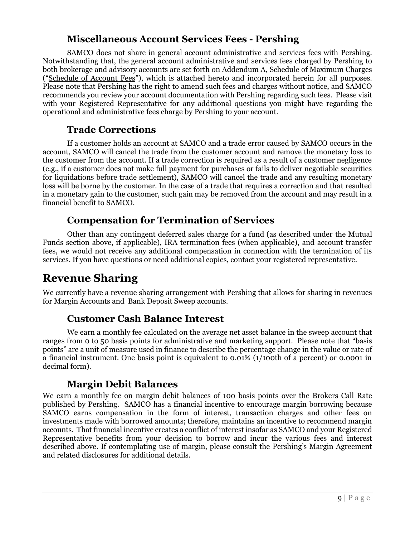#### **Miscellaneous Account Services Fees - Pershing**

<span id="page-10-0"></span>SAMCO does not share in general account administrative and services fees with Pershing. Notwithstanding that, the general account administrative and services fees charged by Pershing to both brokerage and advisory accounts are set forth on Addendum A, Schedule of Maximum Charges ("Schedule of Account Fees"), which is attached hereto and incorporated herein for all purposes. Please note that Pershing has the right to amend such fees and charges without notice, and SAMCO recommends you review your account documentation with Pershing regarding such fees. Please visit with your Registered Representative for any additional questions you might have regarding the operational and administrative fees charge by Pershing to your account.

#### **Trade Corrections**

<span id="page-10-1"></span>If a customer holds an account at SAMCO and a trade error caused by SAMCO occurs in the account, SAMCO will cancel the trade from the customer account and remove the monetary loss to the customer from the account. If a trade correction is required as a result of a customer negligence (e.g., if a customer does not make full payment for purchases or fails to deliver negotiable securities for liquidations before trade settlement), SAMCO will cancel the trade and any resulting monetary loss will be borne by the customer. In the case of a trade that requires a correction and that resulted in a monetary gain to the customer, such gain may be removed from the account and may result in a financial benefit to SAMCO.

#### **Compensation for Termination of Services**

<span id="page-10-2"></span>Other than any contingent deferred sales charge for a fund (as described under the Mutual Funds section above, if applicable), IRA termination fees (when applicable), and account transfer fees, we would not receive any additional compensation in connection with the termination of its services. If you have questions or need additional copies, contact your registered representative.

## <span id="page-10-3"></span>**Revenue Sharing**

<span id="page-10-4"></span>We currently have a revenue sharing arrangement with Pershing that allows for sharing in revenues for Margin Accounts and Bank Deposit Sweep accounts.

#### **Customer Cash Balance Interest**

We earn a monthly fee calculated on the average net asset balance in the sweep account that ranges from 0 to 50 basis points for administrative and marketing support. Please note that "basis points" are a unit of measure used in finance to describe the percentage change in the value or rate of a financial instrument. One basis point is equivalent to 0.01% (1/100th of a percent) or 0.0001 in decimal form).

#### **Margin Debit Balances**

<span id="page-10-5"></span>We earn a monthly fee on margin debit balances of 100 basis points over the Brokers Call Rate published by Pershing. SAMCO has a financial incentive to encourage margin borrowing because SAMCO earns compensation in the form of interest, transaction charges and other fees on investments made with borrowed amounts; therefore, maintains an incentive to recommend margin accounts. That financial incentive creates a conflict of interest insofar as SAMCO and your Registered Representative benefits from your decision to borrow and incur the various fees and interest described above. If contemplating use of margin, please consult the Pershing's Margin Agreement and related disclosures for additional details.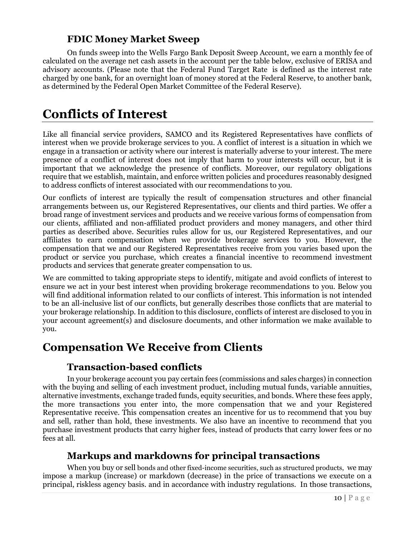#### **FDIC Money Market Sweep**

<span id="page-11-1"></span><span id="page-11-0"></span>On funds sweep into the Wells Fargo Bank Deposit Sweep Account, we earn a monthly fee of calculated on the average net cash assets in the account per the table below, exclusive of ERISA and advisory accounts. (Please note that the Federal Fund Target Rate is defined as the interest rate charged by one bank, for an overnight loan of money stored at the Federal Reserve, to another bank, as determined by the Federal Open Market Committee of the Federal Reserve).

## <span id="page-11-2"></span>**Conflicts of Interest**

Like all financial service providers, SAMCO and its Registered Representatives have conflicts of interest when we provide brokerage services to you. A conflict of interest is a situation in which we engage in a transaction or activity where our interest is materially adverse to your interest. The mere presence of a conflict of interest does not imply that harm to your interests will occur, but it is important that we acknowledge the presence of conflicts. Moreover, our regulatory obligations require that we establish, maintain, and enforce written policies and procedures reasonably designed to address conflicts of interest associated with our recommendations to you.

Our conflicts of interest are typically the result of compensation structures and other financial arrangements between us, our Registered Representatives, our clients and third parties. We offer a broad range of investment services and products and we receive various forms of compensation from our clients, affiliated and non-affiliated product providers and money managers, and other third parties as described above. Securities rules allow for us, our Registered Representatives, and our affiliates to earn compensation when we provide brokerage services to you. However, the compensation that we and our Registered Representatives receive from you varies based upon the product or service you purchase, which creates a financial incentive to recommend investment products and services that generate greater compensation to us.

We are committed to taking appropriate steps to identify, mitigate and avoid conflicts of interest to ensure we act in your best interest when providing brokerage recommendations to you. Below you will find additional information related to our conflicts of interest. This information is not intended to be an all-inclusive list of our conflicts, but generally describes those conflicts that are material to your brokerage relationship. In addition to this disclosure, conflicts of interest are disclosed to you in your account agreement(s) and disclosure documents, and other information we make available to you.

## <span id="page-11-4"></span><span id="page-11-3"></span>**Compensation We Receive from Clients**

#### **Transaction-based conflicts**

In your brokerage account you pay certain fees (commissions and sales charges) in connection with the buying and selling of each investment product, including mutual funds, variable annuities, alternative investments, exchange traded funds, equity securities, and bonds. Where these fees apply, the more transactions you enter into, the more compensation that we and your Registered Representative receive. This compensation creates an incentive for us to recommend that you buy and sell, rather than hold, these investments. We also have an incentive to recommend that you purchase investment products that carry higher fees, instead of products that carry lower fees or no fees at all.

#### **Markups and markdowns for principal transactions**

<span id="page-11-5"></span>When you buy or sell bonds and other fixed-income securities, such as structured products, we may impose a markup (increase) or markdown (decrease) in the price of transactions we execute on a principal, riskless agency basis. and in accordance with industry regulations. In those transactions,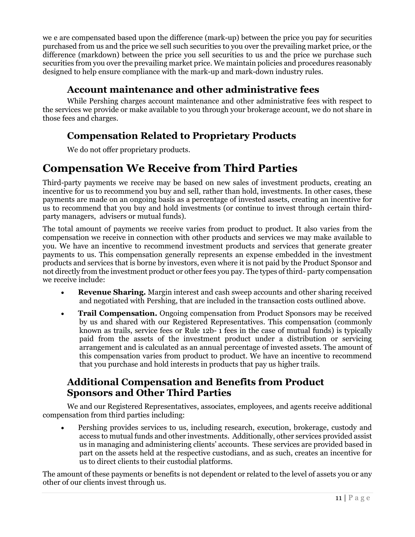we e are compensated based upon the difference (mark-up) between the price you pay for securities purchased from us and the price we sell such securities to you over the prevailing market price, or the difference (markdown) between the price you sell securities to us and the price we purchase such securities from you over the prevailing market price. We maintain policies and procedures reasonably designed to help ensure compliance with the mark-up and mark-down industry rules.

#### **Account maintenance and other administrative fees**

<span id="page-12-0"></span>While Pershing charges account maintenance and other administrative fees with respect to the services we provide or make available to you through your brokerage account, we do not share in those fees and charges.

#### <span id="page-12-1"></span>**Compensation Related to Proprietary Products**

We do not offer proprietary products.

## <span id="page-12-2"></span>**Compensation We Receive from Third Parties**

Third-party payments we receive may be based on new sales of investment products, creating an incentive for us to recommend you buy and sell, rather than hold, investments. In other cases, these payments are made on an ongoing basis as a percentage of invested assets, creating an incentive for us to recommend that you buy and hold investments (or continue to invest through certain thirdparty managers, advisers or mutual funds).

The total amount of payments we receive varies from product to product. It also varies from the compensation we receive in connection with other products and services we may make available to you. We have an incentive to recommend investment products and services that generate greater payments to us. This compensation generally represents an expense embedded in the investment products and services that is borne by investors, even where it is not paid by the Product Sponsor and not directly from the investment product or other fees you pay. The types of third- party compensation we receive include:

- **Revenue Sharing.** Margin interest and cash sweep accounts and other sharing received and negotiated with Pershing, that are included in the transaction costs outlined above.
- **Trail Compensation.** Ongoing compensation from Product Sponsors may be received by us and shared with our Registered Representatives. This compensation (commonly known as trails, service fees or Rule 12b- 1 fees in the case of mutual funds) is typically paid from the assets of the investment product under a distribution or servicing arrangement and is calculated as an annual percentage of invested assets. The amount of this compensation varies from product to product. We have an incentive to recommend that you purchase and hold interests in products that pay us higher trails.

#### <span id="page-12-3"></span>**Additional Compensation and Benefits from Product Sponsors and Other Third Parties**

We and our Registered Representatives, associates, employees, and agents receive additional compensation from third parties including:

• Pershing provides services to us, including research, execution, brokerage, custody and access to mutual funds and other investments. Additionally, other services provided assist us in managing and administering clients' accounts. These services are provided based in part on the assets held at the respective custodians, and as such, creates an incentive for us to direct clients to their custodial platforms.

The amount of these payments or benefits is not dependent or related to the level of assets you or any other of our clients invest through us.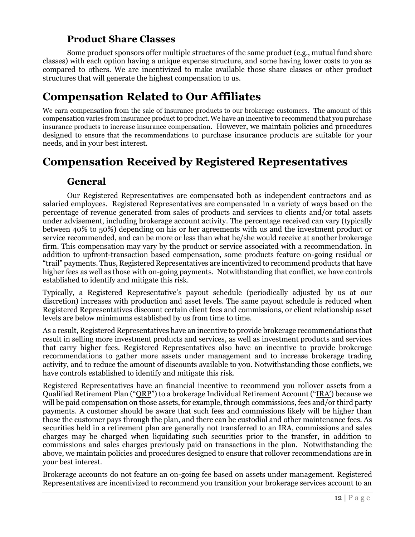#### **Product Share Classes**

<span id="page-13-0"></span>Some product sponsors offer multiple structures of the same product (e.g., mutual fund share classes) with each option having a unique expense structure, and some having lower costs to you as compared to others. We are incentivized to make available those share classes or other product structures that will generate the highest compensation to us.

### <span id="page-13-1"></span>**Compensation Related to Our Affiliates**

We earn compensation from the sale of insurance products to our brokerage customers. The amount of this compensation varies from insurance product to product. We have an incentive to recommend that you purchase insurance products to increase insurance compensation. However, we maintain policies and procedures designed to ensure that the recommendations to purchase insurance products are suitable for your needs, and in your best interest.

## <span id="page-13-3"></span><span id="page-13-2"></span>**Compensation Received by Registered Representatives**

#### **General**

Our Registered Representatives are compensated both as independent contractors and as salaried employees. Registered Representatives are compensated in a variety of ways based on the percentage of revenue generated from sales of products and services to clients and/or total assets under advisement, including brokerage account activity. The percentage received can vary (typically between 40% to 50%) depending on his or her agreements with us and the investment product or service recommended, and can be more or less than what he/she would receive at another brokerage firm. This compensation may vary by the product or service associated with a recommendation. In addition to upfront-transaction based compensation, some products feature on-going residual or "trail" payments. Thus, Registered Representatives are incentivized to recommend products that have higher fees as well as those with on-going payments. Notwithstanding that conflict, we have controls established to identify and mitigate this risk.

Typically, a Registered Representative's payout schedule (periodically adjusted by us at our discretion) increases with production and asset levels. The same payout schedule is reduced when Registered Representatives discount certain client fees and commissions, or client relationship asset levels are below minimums established by us from time to time.

As a result, Registered Representatives have an incentive to provide brokerage recommendations that result in selling more investment products and services, as well as investment products and services that carry higher fees. Registered Representatives also have an incentive to provide brokerage recommendations to gather more assets under management and to increase brokerage trading activity, and to reduce the amount of discounts available to you. Notwithstanding those conflicts, we have controls established to identify and mitigate this risk.

Registered Representatives have an financial incentive to recommend you rollover assets from a Qualified Retirement Plan ("QRP") to a brokerage Individual Retirement Account ("IRA') because we will be paid compensation on those assets, for example, through commissions, fees and/or third party payments. A customer should be aware that such fees and commissions likely will be higher than those the customer pays through the plan, and there can be custodial and other maintenance fees. As securities held in a retirement plan are generally not transferred to an IRA, commissions and sales charges may be charged when liquidating such securities prior to the transfer, in addition to commissions and sales charges previously paid on transactions in the plan. Notwithstanding the above, we maintain policies and procedures designed to ensure that rollover recommendations are in your best interest.

Brokerage accounts do not feature an on-going fee based on assets under management. Registered Representatives are incentivized to recommend you transition your brokerage services account to an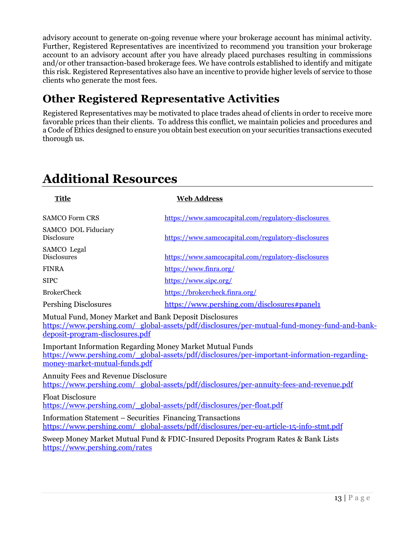advisory account to generate on-going revenue where your brokerage account has minimal activity. Further, Registered Representatives are incentivized to recommend you transition your brokerage account to an advisory account after you have already placed purchases resulting in commissions and/or other transaction-based brokerage fees. We have controls established to identify and mitigate this risk. Registered Representatives also have an incentive to provide higher levels of service to those clients who generate the most fees.

## **Other Registered Representative Activities**

Registered Representatives may be motivated to place trades ahead of clients in order to receive more favorable prices than their clients. To address this conflict, we maintain policies and procedures and a Code of Ethics designed to ensure you obtain best execution on your securities transactions executed thorough us.

## **Additional Resources**

| <b>Title</b>                                                                                      | <b>Web Address</b>                                                                          |
|---------------------------------------------------------------------------------------------------|---------------------------------------------------------------------------------------------|
| <b>SAMCO Form CRS</b>                                                                             | https://www.samcocapital.com/regulatory-disclosures                                         |
| SAMCO DOL Fiduciary<br><b>Disclosure</b>                                                          | https://www.samcocapital.com/regulatory-disclosures                                         |
| SAMCO Legal<br><b>Disclosures</b>                                                                 | https://www.samcocapital.com/regulatory-disclosures                                         |
| <b>FINRA</b>                                                                                      | https://www.finra.org/                                                                      |
| <b>SIPC</b>                                                                                       | https://www.sipc.org/                                                                       |
| <b>BrokerCheck</b>                                                                                | https://brokercheck.finra.org/                                                              |
| <b>Pershing Disclosures</b>                                                                       | https://www.pershing.com/disclosures#panel1                                                 |
| Mutual Fund, Money Market and Bank Deposit Disclosures<br>deposit-program-disclosures.pdf         | https://www.pershing.com/global-assets/pdf/disclosures/per-mutual-fund-money-fund-and-bank- |
| <b>Important Information Regarding Money Market Mutual Funds</b><br>money-market-mutual-funds.pdf | https://www.pershing.com/global-assets/pdf/disclosures/per-important-information-regarding- |
| <b>Annuity Fees and Revenue Disclosure</b>                                                        | https://www.pershing.com/global-assets/pdf/disclosures/per-annuity-fees-and-revenue.pdf     |
| <b>Float Disclosure</b><br>https://www.pershing.com/global-assets/pdf/disclosures/per-float.pdf   |                                                                                             |
| <b>Information Statement - Securities Financing Transactions</b>                                  | https://www.pershing.com/global-assets/pdf/disclosures/per-eu-article-15-info-stmt.pdf      |
| https://www.pershing.com/rates                                                                    | Sweep Money Market Mutual Fund & FDIC-Insured Deposits Program Rates & Bank Lists           |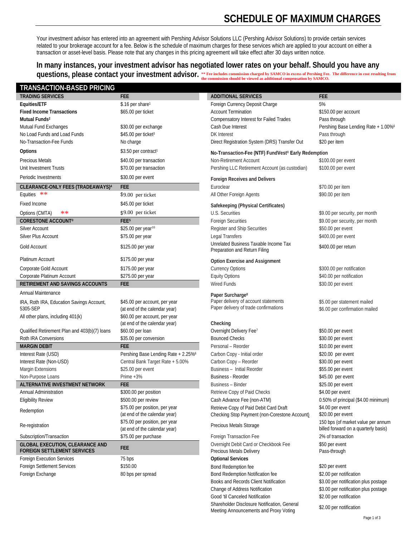## **SCHEDULE OF MAXIMUM CHARGES**

Your investment advisor has entered into an agreement with Pershing Advisor Solutions LLC (Pershing Advisor Solutions) to provide certain services related to your brokerage account for a fee. Below is the schedule of maximum charges for these services which are applied to your account on either a transaction or asset-level basis. Please note that any changes in this pricing agreement will take effect after 30 days written notice.

**In many instances, your investment advisor has negotiated lower rates on your behalf. Should you have any questions, please contact your investment advisor. \*\*** Fee includes commission charged by SAMCO in excess of Pershing Fee

#### **TRANSACTION-BASED PRICING**

| <b>TRANSACTION-BASED PRICING</b><br><b>FEE</b><br><b>TRADING SERVICES</b><br><b>ADDITIONAL SERVICES</b><br><b>FEE</b><br>5%<br>\$.16 per share <sup>1</sup><br>Equities/ETF<br>Foreign Currency Deposit Charge<br><b>Fixed Income Transactions</b><br><b>Account Termination</b><br>\$65.00 per ticket<br>\$150.00 per account<br>Mutual Funds <sup>2</sup><br>Compensatory Interest for Failed Trades<br>Pass through<br>Mutual Fund Exchanges<br>\$30.00 per exchange<br>Cash Due Interest<br>Pershing Base Lending Rate + 1.00%6<br><b>DK</b> Interest<br>No Load Funds and Load Funds<br>\$45.00 per ticket <sup>3</sup><br>Pass through<br>No-Transaction-Fee Funds<br>\$20 per item<br>No charge<br>Direct Registration System (DRS) Transfer Out<br>Options<br>\$3.50 per contract <sup>1</sup><br>No-Transaction-Fee (NTF) FundVest <sup>®</sup> Early Redemption<br><b>Precious Metals</b><br>Non-Retirement Account<br>\$100.00 per event<br>\$40.00 per transaction<br>Pershing LLC Retirement Account (as custodian)<br>Unit Investment Trusts<br>\$70.00 per transaction<br>\$100.00 per event<br>Periodic Investments<br>\$30.00 per event<br><b>Foreign Receives and Delivers</b><br>CLEARANCE-ONLY FEES (TRADEAWAYS) <sup>4</sup><br><b>FEE</b><br>Euroclear<br>\$70.00 per item<br>Equities **<br>\$9.00 per ticket<br>All Other Foreign Agents<br>\$90.00 per item<br>Fixed Income<br>\$45.00 per ticket<br>Safekeeping (Physical Certificates)<br>\$9.00 per ticket<br>Options (CMTA)<br>**<br>U.S. Securities<br>\$9.00 per security, per month<br>FEE <sup>5</sup><br><b>CORESTONE ACCOUNT®</b><br><b>Foreign Securities</b><br>\$9.00 per security, per month<br>\$25.00 per year <sup>10</sup><br><b>Silver Account</b><br>Register and Ship Securities<br>\$50.00 per event<br><b>Legal Transfers</b><br><b>Silver Plus Account</b><br>\$75.00 per year<br>\$400.00 per event<br>Unrelated Business Taxable Income Tax<br>Gold Account<br>\$125.00 per year<br>\$400.00 per return<br>Preparation and Return Filing<br>Platinum Account<br>\$175.00 per year<br><b>Option Exercise and Assignment</b><br>Corporate Gold Account<br>\$175.00 per year<br><b>Currency Options</b><br>\$300.00 per notification<br>Corporate Platinum Account<br><b>Equity Options</b><br>\$275.00 per year<br>\$40.00 per notification<br><b>Wired Funds</b><br>RETIREMENT AND SAVINGS ACCOUNTS<br><b>FEE</b><br>\$30.00 per event<br>Annual Maintenance<br>Paper Surcharge <sup>8</sup><br>Paper delivery of account statements<br>\$45.00 per account, per year<br>\$5.00 per statement mailed<br>IRA, Roth IRA, Education Savings Account,<br>Paper delivery of trade confirmations<br>5305-SEP<br>(at end of the calendar year)<br>\$6.00 per confirmation mailed<br>\$60.00 per account, per year<br>All other plans, including 401(k)<br>(at end of the calendar year)<br>Checking<br>Overnight Delivery Fee <sup>7</sup><br>Qualified Retirement Plan and 403(b)(7) loans<br>\$60.00 per loan<br>\$50.00 per event<br>Roth IRA Conversions<br>\$35.00 per conversion<br><b>Bounced Checks</b><br>\$30.00 per event<br><b>FEE</b><br><b>MARGIN DEBIT</b><br>Personal - Reorder<br>\$10.00 per event<br>Interest Rate (USD)<br>Pershing Base Lending Rate + 2.25% <sup>6</sup><br>Carbon Copy - Initial order<br>\$20.00 per event<br>Central Bank Target Rate + 5.00%<br>Carbon Copy - Reorder<br>Interest Rate (Non-USD)<br>\$30.00 per event<br>\$25.00 per event<br>Business - Initial Reorder<br>\$55.00 per event<br><b>Margin Extensions</b><br>Non-Purpose Loans<br>Prime $+3\%$<br><b>Business - Reorder</b><br>\$45.00 per event<br><b>ALTERNATIVE INVESTMENT NETWORK</b><br><b>FEE</b><br><b>Business - Binder</b><br>\$25.00 per event<br>\$300.00 per position<br>Retrieve Copy of Paid Checks<br>\$4.00 per event<br>Annual Administration<br>\$500.00 per review<br>Cash Advance Fee (non-ATM)<br><b>Eligibility Review</b><br>0.50% of principal (\$4.00 minimum)<br>\$75.00 per position, per year<br>Retrieve Copy of Paid Debit Card Draft<br>\$4.00 per event<br>Redemption<br>(at end of the calendar year)<br>\$20.00 per event<br>Checking Stop Payment (non-Corestone Account)<br>\$75.00 per position, per year<br>150 bps (of market value per annum<br>Re-registration<br>Precious Metals Storage<br>billed forward on a quarterly basis)<br>(at end of the calendar year)<br>\$75.00 per purchase<br>2% of transaction<br>Subscription/Transaction<br>Foreign Transaction Fee<br>Overnight Debit Card or Checkbook Fee<br>\$50 per event<br><b>GLOBAL EXECUTION, CLEARANCE AND</b><br><b>FEE</b><br><b>FOREIGN SETTLEMENT SERVICES</b><br>Precious Metals Delivery<br>Pass-through<br><b>Optional Services</b><br><b>Foreign Execution Services</b><br>75 bps<br>Foreign Settlement Services<br>\$150.00<br>\$20 per event<br>Bond Redemption fee<br>Foreign Exchange<br>Bond Redemption Notification fee<br>\$2.00 per notification<br>80 bps per spread<br>Books and Records Client Notification<br>\$3.00 per notification plus postage |  | <b>QUESTIONS, PIEASE CONTACT YOUT INVESTMENT ADVISOF.</b> The fee includes commission charged by SAMCO in excess of Pershing Fee. The difference in cost resulting from<br>the commission should be viewed as additional compensation by SAMCO. |  |
|-----------------------------------------------------------------------------------------------------------------------------------------------------------------------------------------------------------------------------------------------------------------------------------------------------------------------------------------------------------------------------------------------------------------------------------------------------------------------------------------------------------------------------------------------------------------------------------------------------------------------------------------------------------------------------------------------------------------------------------------------------------------------------------------------------------------------------------------------------------------------------------------------------------------------------------------------------------------------------------------------------------------------------------------------------------------------------------------------------------------------------------------------------------------------------------------------------------------------------------------------------------------------------------------------------------------------------------------------------------------------------------------------------------------------------------------------------------------------------------------------------------------------------------------------------------------------------------------------------------------------------------------------------------------------------------------------------------------------------------------------------------------------------------------------------------------------------------------------------------------------------------------------------------------------------------------------------------------------------------------------------------------------------------------------------------------------------------------------------------------------------------------------------------------------------------------------------------------------------------------------------------------------------------------------------------------------------------------------------------------------------------------------------------------------------------------------------------------------------------------------------------------------------------------------------------------------------------------------------------------------------------------------------------------------------------------------------------------------------------------------------------------------------------------------------------------------------------------------------------------------------------------------------------------------------------------------------------------------------------------------------------------------------------------------------------------------------------------------------------------------------------------------------------------------------------------------------------------------------------------------------------------------------------------------------------------------------------------------------------------------------------------------------------------------------------------------------------------------------------------------------------------------------------------------------------------------------------------------------------------------------------------------------------------------------------------------------------------------------------------------------------------------------------------------------------------------------------------------------------------------------------------------------------------------------------------------------------------------------------------------------------------------------------------------------------------------------------------------------------------------------------------------------------------------------------------------------------------------------------------------------------------------------------------------------------------------------------------------------------------------------------------------------------------------------------------------------------------------------------------------------------------------------------------------------------------------------------------------------------------------------------------------------------------------------------------------------------------------------------------------------------------------------------------------------------------------------------------------------------------------------------------------------------------------------------------------------------------------------------------------------------------------------------------------------------------------------------|--|-------------------------------------------------------------------------------------------------------------------------------------------------------------------------------------------------------------------------------------------------|--|
|                                                                                                                                                                                                                                                                                                                                                                                                                                                                                                                                                                                                                                                                                                                                                                                                                                                                                                                                                                                                                                                                                                                                                                                                                                                                                                                                                                                                                                                                                                                                                                                                                                                                                                                                                                                                                                                                                                                                                                                                                                                                                                                                                                                                                                                                                                                                                                                                                                                                                                                                                                                                                                                                                                                                                                                                                                                                                                                                                                                                                                                                                                                                                                                                                                                                                                                                                                                                                                                                                                                                                                                                                                                                                                                                                                                                                                                                                                                                                                                                                                                                                                                                                                                                                                                                                                                                                                                                                                                                                                                                                                                                                                                                                                                                                                                                                                                                                                                                                                                                                                                                                   |  |                                                                                                                                                                                                                                                 |  |
|                                                                                                                                                                                                                                                                                                                                                                                                                                                                                                                                                                                                                                                                                                                                                                                                                                                                                                                                                                                                                                                                                                                                                                                                                                                                                                                                                                                                                                                                                                                                                                                                                                                                                                                                                                                                                                                                                                                                                                                                                                                                                                                                                                                                                                                                                                                                                                                                                                                                                                                                                                                                                                                                                                                                                                                                                                                                                                                                                                                                                                                                                                                                                                                                                                                                                                                                                                                                                                                                                                                                                                                                                                                                                                                                                                                                                                                                                                                                                                                                                                                                                                                                                                                                                                                                                                                                                                                                                                                                                                                                                                                                                                                                                                                                                                                                                                                                                                                                                                                                                                                                                   |  |                                                                                                                                                                                                                                                 |  |
|                                                                                                                                                                                                                                                                                                                                                                                                                                                                                                                                                                                                                                                                                                                                                                                                                                                                                                                                                                                                                                                                                                                                                                                                                                                                                                                                                                                                                                                                                                                                                                                                                                                                                                                                                                                                                                                                                                                                                                                                                                                                                                                                                                                                                                                                                                                                                                                                                                                                                                                                                                                                                                                                                                                                                                                                                                                                                                                                                                                                                                                                                                                                                                                                                                                                                                                                                                                                                                                                                                                                                                                                                                                                                                                                                                                                                                                                                                                                                                                                                                                                                                                                                                                                                                                                                                                                                                                                                                                                                                                                                                                                                                                                                                                                                                                                                                                                                                                                                                                                                                                                                   |  |                                                                                                                                                                                                                                                 |  |
|                                                                                                                                                                                                                                                                                                                                                                                                                                                                                                                                                                                                                                                                                                                                                                                                                                                                                                                                                                                                                                                                                                                                                                                                                                                                                                                                                                                                                                                                                                                                                                                                                                                                                                                                                                                                                                                                                                                                                                                                                                                                                                                                                                                                                                                                                                                                                                                                                                                                                                                                                                                                                                                                                                                                                                                                                                                                                                                                                                                                                                                                                                                                                                                                                                                                                                                                                                                                                                                                                                                                                                                                                                                                                                                                                                                                                                                                                                                                                                                                                                                                                                                                                                                                                                                                                                                                                                                                                                                                                                                                                                                                                                                                                                                                                                                                                                                                                                                                                                                                                                                                                   |  |                                                                                                                                                                                                                                                 |  |
|                                                                                                                                                                                                                                                                                                                                                                                                                                                                                                                                                                                                                                                                                                                                                                                                                                                                                                                                                                                                                                                                                                                                                                                                                                                                                                                                                                                                                                                                                                                                                                                                                                                                                                                                                                                                                                                                                                                                                                                                                                                                                                                                                                                                                                                                                                                                                                                                                                                                                                                                                                                                                                                                                                                                                                                                                                                                                                                                                                                                                                                                                                                                                                                                                                                                                                                                                                                                                                                                                                                                                                                                                                                                                                                                                                                                                                                                                                                                                                                                                                                                                                                                                                                                                                                                                                                                                                                                                                                                                                                                                                                                                                                                                                                                                                                                                                                                                                                                                                                                                                                                                   |  |                                                                                                                                                                                                                                                 |  |
|                                                                                                                                                                                                                                                                                                                                                                                                                                                                                                                                                                                                                                                                                                                                                                                                                                                                                                                                                                                                                                                                                                                                                                                                                                                                                                                                                                                                                                                                                                                                                                                                                                                                                                                                                                                                                                                                                                                                                                                                                                                                                                                                                                                                                                                                                                                                                                                                                                                                                                                                                                                                                                                                                                                                                                                                                                                                                                                                                                                                                                                                                                                                                                                                                                                                                                                                                                                                                                                                                                                                                                                                                                                                                                                                                                                                                                                                                                                                                                                                                                                                                                                                                                                                                                                                                                                                                                                                                                                                                                                                                                                                                                                                                                                                                                                                                                                                                                                                                                                                                                                                                   |  |                                                                                                                                                                                                                                                 |  |
|                                                                                                                                                                                                                                                                                                                                                                                                                                                                                                                                                                                                                                                                                                                                                                                                                                                                                                                                                                                                                                                                                                                                                                                                                                                                                                                                                                                                                                                                                                                                                                                                                                                                                                                                                                                                                                                                                                                                                                                                                                                                                                                                                                                                                                                                                                                                                                                                                                                                                                                                                                                                                                                                                                                                                                                                                                                                                                                                                                                                                                                                                                                                                                                                                                                                                                                                                                                                                                                                                                                                                                                                                                                                                                                                                                                                                                                                                                                                                                                                                                                                                                                                                                                                                                                                                                                                                                                                                                                                                                                                                                                                                                                                                                                                                                                                                                                                                                                                                                                                                                                                                   |  |                                                                                                                                                                                                                                                 |  |
|                                                                                                                                                                                                                                                                                                                                                                                                                                                                                                                                                                                                                                                                                                                                                                                                                                                                                                                                                                                                                                                                                                                                                                                                                                                                                                                                                                                                                                                                                                                                                                                                                                                                                                                                                                                                                                                                                                                                                                                                                                                                                                                                                                                                                                                                                                                                                                                                                                                                                                                                                                                                                                                                                                                                                                                                                                                                                                                                                                                                                                                                                                                                                                                                                                                                                                                                                                                                                                                                                                                                                                                                                                                                                                                                                                                                                                                                                                                                                                                                                                                                                                                                                                                                                                                                                                                                                                                                                                                                                                                                                                                                                                                                                                                                                                                                                                                                                                                                                                                                                                                                                   |  |                                                                                                                                                                                                                                                 |  |
|                                                                                                                                                                                                                                                                                                                                                                                                                                                                                                                                                                                                                                                                                                                                                                                                                                                                                                                                                                                                                                                                                                                                                                                                                                                                                                                                                                                                                                                                                                                                                                                                                                                                                                                                                                                                                                                                                                                                                                                                                                                                                                                                                                                                                                                                                                                                                                                                                                                                                                                                                                                                                                                                                                                                                                                                                                                                                                                                                                                                                                                                                                                                                                                                                                                                                                                                                                                                                                                                                                                                                                                                                                                                                                                                                                                                                                                                                                                                                                                                                                                                                                                                                                                                                                                                                                                                                                                                                                                                                                                                                                                                                                                                                                                                                                                                                                                                                                                                                                                                                                                                                   |  |                                                                                                                                                                                                                                                 |  |
|                                                                                                                                                                                                                                                                                                                                                                                                                                                                                                                                                                                                                                                                                                                                                                                                                                                                                                                                                                                                                                                                                                                                                                                                                                                                                                                                                                                                                                                                                                                                                                                                                                                                                                                                                                                                                                                                                                                                                                                                                                                                                                                                                                                                                                                                                                                                                                                                                                                                                                                                                                                                                                                                                                                                                                                                                                                                                                                                                                                                                                                                                                                                                                                                                                                                                                                                                                                                                                                                                                                                                                                                                                                                                                                                                                                                                                                                                                                                                                                                                                                                                                                                                                                                                                                                                                                                                                                                                                                                                                                                                                                                                                                                                                                                                                                                                                                                                                                                                                                                                                                                                   |  |                                                                                                                                                                                                                                                 |  |
|                                                                                                                                                                                                                                                                                                                                                                                                                                                                                                                                                                                                                                                                                                                                                                                                                                                                                                                                                                                                                                                                                                                                                                                                                                                                                                                                                                                                                                                                                                                                                                                                                                                                                                                                                                                                                                                                                                                                                                                                                                                                                                                                                                                                                                                                                                                                                                                                                                                                                                                                                                                                                                                                                                                                                                                                                                                                                                                                                                                                                                                                                                                                                                                                                                                                                                                                                                                                                                                                                                                                                                                                                                                                                                                                                                                                                                                                                                                                                                                                                                                                                                                                                                                                                                                                                                                                                                                                                                                                                                                                                                                                                                                                                                                                                                                                                                                                                                                                                                                                                                                                                   |  |                                                                                                                                                                                                                                                 |  |
|                                                                                                                                                                                                                                                                                                                                                                                                                                                                                                                                                                                                                                                                                                                                                                                                                                                                                                                                                                                                                                                                                                                                                                                                                                                                                                                                                                                                                                                                                                                                                                                                                                                                                                                                                                                                                                                                                                                                                                                                                                                                                                                                                                                                                                                                                                                                                                                                                                                                                                                                                                                                                                                                                                                                                                                                                                                                                                                                                                                                                                                                                                                                                                                                                                                                                                                                                                                                                                                                                                                                                                                                                                                                                                                                                                                                                                                                                                                                                                                                                                                                                                                                                                                                                                                                                                                                                                                                                                                                                                                                                                                                                                                                                                                                                                                                                                                                                                                                                                                                                                                                                   |  |                                                                                                                                                                                                                                                 |  |
|                                                                                                                                                                                                                                                                                                                                                                                                                                                                                                                                                                                                                                                                                                                                                                                                                                                                                                                                                                                                                                                                                                                                                                                                                                                                                                                                                                                                                                                                                                                                                                                                                                                                                                                                                                                                                                                                                                                                                                                                                                                                                                                                                                                                                                                                                                                                                                                                                                                                                                                                                                                                                                                                                                                                                                                                                                                                                                                                                                                                                                                                                                                                                                                                                                                                                                                                                                                                                                                                                                                                                                                                                                                                                                                                                                                                                                                                                                                                                                                                                                                                                                                                                                                                                                                                                                                                                                                                                                                                                                                                                                                                                                                                                                                                                                                                                                                                                                                                                                                                                                                                                   |  |                                                                                                                                                                                                                                                 |  |
|                                                                                                                                                                                                                                                                                                                                                                                                                                                                                                                                                                                                                                                                                                                                                                                                                                                                                                                                                                                                                                                                                                                                                                                                                                                                                                                                                                                                                                                                                                                                                                                                                                                                                                                                                                                                                                                                                                                                                                                                                                                                                                                                                                                                                                                                                                                                                                                                                                                                                                                                                                                                                                                                                                                                                                                                                                                                                                                                                                                                                                                                                                                                                                                                                                                                                                                                                                                                                                                                                                                                                                                                                                                                                                                                                                                                                                                                                                                                                                                                                                                                                                                                                                                                                                                                                                                                                                                                                                                                                                                                                                                                                                                                                                                                                                                                                                                                                                                                                                                                                                                                                   |  |                                                                                                                                                                                                                                                 |  |
|                                                                                                                                                                                                                                                                                                                                                                                                                                                                                                                                                                                                                                                                                                                                                                                                                                                                                                                                                                                                                                                                                                                                                                                                                                                                                                                                                                                                                                                                                                                                                                                                                                                                                                                                                                                                                                                                                                                                                                                                                                                                                                                                                                                                                                                                                                                                                                                                                                                                                                                                                                                                                                                                                                                                                                                                                                                                                                                                                                                                                                                                                                                                                                                                                                                                                                                                                                                                                                                                                                                                                                                                                                                                                                                                                                                                                                                                                                                                                                                                                                                                                                                                                                                                                                                                                                                                                                                                                                                                                                                                                                                                                                                                                                                                                                                                                                                                                                                                                                                                                                                                                   |  |                                                                                                                                                                                                                                                 |  |
|                                                                                                                                                                                                                                                                                                                                                                                                                                                                                                                                                                                                                                                                                                                                                                                                                                                                                                                                                                                                                                                                                                                                                                                                                                                                                                                                                                                                                                                                                                                                                                                                                                                                                                                                                                                                                                                                                                                                                                                                                                                                                                                                                                                                                                                                                                                                                                                                                                                                                                                                                                                                                                                                                                                                                                                                                                                                                                                                                                                                                                                                                                                                                                                                                                                                                                                                                                                                                                                                                                                                                                                                                                                                                                                                                                                                                                                                                                                                                                                                                                                                                                                                                                                                                                                                                                                                                                                                                                                                                                                                                                                                                                                                                                                                                                                                                                                                                                                                                                                                                                                                                   |  |                                                                                                                                                                                                                                                 |  |
|                                                                                                                                                                                                                                                                                                                                                                                                                                                                                                                                                                                                                                                                                                                                                                                                                                                                                                                                                                                                                                                                                                                                                                                                                                                                                                                                                                                                                                                                                                                                                                                                                                                                                                                                                                                                                                                                                                                                                                                                                                                                                                                                                                                                                                                                                                                                                                                                                                                                                                                                                                                                                                                                                                                                                                                                                                                                                                                                                                                                                                                                                                                                                                                                                                                                                                                                                                                                                                                                                                                                                                                                                                                                                                                                                                                                                                                                                                                                                                                                                                                                                                                                                                                                                                                                                                                                                                                                                                                                                                                                                                                                                                                                                                                                                                                                                                                                                                                                                                                                                                                                                   |  |                                                                                                                                                                                                                                                 |  |
|                                                                                                                                                                                                                                                                                                                                                                                                                                                                                                                                                                                                                                                                                                                                                                                                                                                                                                                                                                                                                                                                                                                                                                                                                                                                                                                                                                                                                                                                                                                                                                                                                                                                                                                                                                                                                                                                                                                                                                                                                                                                                                                                                                                                                                                                                                                                                                                                                                                                                                                                                                                                                                                                                                                                                                                                                                                                                                                                                                                                                                                                                                                                                                                                                                                                                                                                                                                                                                                                                                                                                                                                                                                                                                                                                                                                                                                                                                                                                                                                                                                                                                                                                                                                                                                                                                                                                                                                                                                                                                                                                                                                                                                                                                                                                                                                                                                                                                                                                                                                                                                                                   |  |                                                                                                                                                                                                                                                 |  |
|                                                                                                                                                                                                                                                                                                                                                                                                                                                                                                                                                                                                                                                                                                                                                                                                                                                                                                                                                                                                                                                                                                                                                                                                                                                                                                                                                                                                                                                                                                                                                                                                                                                                                                                                                                                                                                                                                                                                                                                                                                                                                                                                                                                                                                                                                                                                                                                                                                                                                                                                                                                                                                                                                                                                                                                                                                                                                                                                                                                                                                                                                                                                                                                                                                                                                                                                                                                                                                                                                                                                                                                                                                                                                                                                                                                                                                                                                                                                                                                                                                                                                                                                                                                                                                                                                                                                                                                                                                                                                                                                                                                                                                                                                                                                                                                                                                                                                                                                                                                                                                                                                   |  |                                                                                                                                                                                                                                                 |  |
|                                                                                                                                                                                                                                                                                                                                                                                                                                                                                                                                                                                                                                                                                                                                                                                                                                                                                                                                                                                                                                                                                                                                                                                                                                                                                                                                                                                                                                                                                                                                                                                                                                                                                                                                                                                                                                                                                                                                                                                                                                                                                                                                                                                                                                                                                                                                                                                                                                                                                                                                                                                                                                                                                                                                                                                                                                                                                                                                                                                                                                                                                                                                                                                                                                                                                                                                                                                                                                                                                                                                                                                                                                                                                                                                                                                                                                                                                                                                                                                                                                                                                                                                                                                                                                                                                                                                                                                                                                                                                                                                                                                                                                                                                                                                                                                                                                                                                                                                                                                                                                                                                   |  |                                                                                                                                                                                                                                                 |  |
|                                                                                                                                                                                                                                                                                                                                                                                                                                                                                                                                                                                                                                                                                                                                                                                                                                                                                                                                                                                                                                                                                                                                                                                                                                                                                                                                                                                                                                                                                                                                                                                                                                                                                                                                                                                                                                                                                                                                                                                                                                                                                                                                                                                                                                                                                                                                                                                                                                                                                                                                                                                                                                                                                                                                                                                                                                                                                                                                                                                                                                                                                                                                                                                                                                                                                                                                                                                                                                                                                                                                                                                                                                                                                                                                                                                                                                                                                                                                                                                                                                                                                                                                                                                                                                                                                                                                                                                                                                                                                                                                                                                                                                                                                                                                                                                                                                                                                                                                                                                                                                                                                   |  |                                                                                                                                                                                                                                                 |  |
|                                                                                                                                                                                                                                                                                                                                                                                                                                                                                                                                                                                                                                                                                                                                                                                                                                                                                                                                                                                                                                                                                                                                                                                                                                                                                                                                                                                                                                                                                                                                                                                                                                                                                                                                                                                                                                                                                                                                                                                                                                                                                                                                                                                                                                                                                                                                                                                                                                                                                                                                                                                                                                                                                                                                                                                                                                                                                                                                                                                                                                                                                                                                                                                                                                                                                                                                                                                                                                                                                                                                                                                                                                                                                                                                                                                                                                                                                                                                                                                                                                                                                                                                                                                                                                                                                                                                                                                                                                                                                                                                                                                                                                                                                                                                                                                                                                                                                                                                                                                                                                                                                   |  |                                                                                                                                                                                                                                                 |  |
|                                                                                                                                                                                                                                                                                                                                                                                                                                                                                                                                                                                                                                                                                                                                                                                                                                                                                                                                                                                                                                                                                                                                                                                                                                                                                                                                                                                                                                                                                                                                                                                                                                                                                                                                                                                                                                                                                                                                                                                                                                                                                                                                                                                                                                                                                                                                                                                                                                                                                                                                                                                                                                                                                                                                                                                                                                                                                                                                                                                                                                                                                                                                                                                                                                                                                                                                                                                                                                                                                                                                                                                                                                                                                                                                                                                                                                                                                                                                                                                                                                                                                                                                                                                                                                                                                                                                                                                                                                                                                                                                                                                                                                                                                                                                                                                                                                                                                                                                                                                                                                                                                   |  |                                                                                                                                                                                                                                                 |  |
|                                                                                                                                                                                                                                                                                                                                                                                                                                                                                                                                                                                                                                                                                                                                                                                                                                                                                                                                                                                                                                                                                                                                                                                                                                                                                                                                                                                                                                                                                                                                                                                                                                                                                                                                                                                                                                                                                                                                                                                                                                                                                                                                                                                                                                                                                                                                                                                                                                                                                                                                                                                                                                                                                                                                                                                                                                                                                                                                                                                                                                                                                                                                                                                                                                                                                                                                                                                                                                                                                                                                                                                                                                                                                                                                                                                                                                                                                                                                                                                                                                                                                                                                                                                                                                                                                                                                                                                                                                                                                                                                                                                                                                                                                                                                                                                                                                                                                                                                                                                                                                                                                   |  |                                                                                                                                                                                                                                                 |  |
|                                                                                                                                                                                                                                                                                                                                                                                                                                                                                                                                                                                                                                                                                                                                                                                                                                                                                                                                                                                                                                                                                                                                                                                                                                                                                                                                                                                                                                                                                                                                                                                                                                                                                                                                                                                                                                                                                                                                                                                                                                                                                                                                                                                                                                                                                                                                                                                                                                                                                                                                                                                                                                                                                                                                                                                                                                                                                                                                                                                                                                                                                                                                                                                                                                                                                                                                                                                                                                                                                                                                                                                                                                                                                                                                                                                                                                                                                                                                                                                                                                                                                                                                                                                                                                                                                                                                                                                                                                                                                                                                                                                                                                                                                                                                                                                                                                                                                                                                                                                                                                                                                   |  |                                                                                                                                                                                                                                                 |  |
|                                                                                                                                                                                                                                                                                                                                                                                                                                                                                                                                                                                                                                                                                                                                                                                                                                                                                                                                                                                                                                                                                                                                                                                                                                                                                                                                                                                                                                                                                                                                                                                                                                                                                                                                                                                                                                                                                                                                                                                                                                                                                                                                                                                                                                                                                                                                                                                                                                                                                                                                                                                                                                                                                                                                                                                                                                                                                                                                                                                                                                                                                                                                                                                                                                                                                                                                                                                                                                                                                                                                                                                                                                                                                                                                                                                                                                                                                                                                                                                                                                                                                                                                                                                                                                                                                                                                                                                                                                                                                                                                                                                                                                                                                                                                                                                                                                                                                                                                                                                                                                                                                   |  |                                                                                                                                                                                                                                                 |  |
|                                                                                                                                                                                                                                                                                                                                                                                                                                                                                                                                                                                                                                                                                                                                                                                                                                                                                                                                                                                                                                                                                                                                                                                                                                                                                                                                                                                                                                                                                                                                                                                                                                                                                                                                                                                                                                                                                                                                                                                                                                                                                                                                                                                                                                                                                                                                                                                                                                                                                                                                                                                                                                                                                                                                                                                                                                                                                                                                                                                                                                                                                                                                                                                                                                                                                                                                                                                                                                                                                                                                                                                                                                                                                                                                                                                                                                                                                                                                                                                                                                                                                                                                                                                                                                                                                                                                                                                                                                                                                                                                                                                                                                                                                                                                                                                                                                                                                                                                                                                                                                                                                   |  |                                                                                                                                                                                                                                                 |  |
|                                                                                                                                                                                                                                                                                                                                                                                                                                                                                                                                                                                                                                                                                                                                                                                                                                                                                                                                                                                                                                                                                                                                                                                                                                                                                                                                                                                                                                                                                                                                                                                                                                                                                                                                                                                                                                                                                                                                                                                                                                                                                                                                                                                                                                                                                                                                                                                                                                                                                                                                                                                                                                                                                                                                                                                                                                                                                                                                                                                                                                                                                                                                                                                                                                                                                                                                                                                                                                                                                                                                                                                                                                                                                                                                                                                                                                                                                                                                                                                                                                                                                                                                                                                                                                                                                                                                                                                                                                                                                                                                                                                                                                                                                                                                                                                                                                                                                                                                                                                                                                                                                   |  |                                                                                                                                                                                                                                                 |  |
|                                                                                                                                                                                                                                                                                                                                                                                                                                                                                                                                                                                                                                                                                                                                                                                                                                                                                                                                                                                                                                                                                                                                                                                                                                                                                                                                                                                                                                                                                                                                                                                                                                                                                                                                                                                                                                                                                                                                                                                                                                                                                                                                                                                                                                                                                                                                                                                                                                                                                                                                                                                                                                                                                                                                                                                                                                                                                                                                                                                                                                                                                                                                                                                                                                                                                                                                                                                                                                                                                                                                                                                                                                                                                                                                                                                                                                                                                                                                                                                                                                                                                                                                                                                                                                                                                                                                                                                                                                                                                                                                                                                                                                                                                                                                                                                                                                                                                                                                                                                                                                                                                   |  |                                                                                                                                                                                                                                                 |  |
|                                                                                                                                                                                                                                                                                                                                                                                                                                                                                                                                                                                                                                                                                                                                                                                                                                                                                                                                                                                                                                                                                                                                                                                                                                                                                                                                                                                                                                                                                                                                                                                                                                                                                                                                                                                                                                                                                                                                                                                                                                                                                                                                                                                                                                                                                                                                                                                                                                                                                                                                                                                                                                                                                                                                                                                                                                                                                                                                                                                                                                                                                                                                                                                                                                                                                                                                                                                                                                                                                                                                                                                                                                                                                                                                                                                                                                                                                                                                                                                                                                                                                                                                                                                                                                                                                                                                                                                                                                                                                                                                                                                                                                                                                                                                                                                                                                                                                                                                                                                                                                                                                   |  |                                                                                                                                                                                                                                                 |  |
|                                                                                                                                                                                                                                                                                                                                                                                                                                                                                                                                                                                                                                                                                                                                                                                                                                                                                                                                                                                                                                                                                                                                                                                                                                                                                                                                                                                                                                                                                                                                                                                                                                                                                                                                                                                                                                                                                                                                                                                                                                                                                                                                                                                                                                                                                                                                                                                                                                                                                                                                                                                                                                                                                                                                                                                                                                                                                                                                                                                                                                                                                                                                                                                                                                                                                                                                                                                                                                                                                                                                                                                                                                                                                                                                                                                                                                                                                                                                                                                                                                                                                                                                                                                                                                                                                                                                                                                                                                                                                                                                                                                                                                                                                                                                                                                                                                                                                                                                                                                                                                                                                   |  |                                                                                                                                                                                                                                                 |  |
|                                                                                                                                                                                                                                                                                                                                                                                                                                                                                                                                                                                                                                                                                                                                                                                                                                                                                                                                                                                                                                                                                                                                                                                                                                                                                                                                                                                                                                                                                                                                                                                                                                                                                                                                                                                                                                                                                                                                                                                                                                                                                                                                                                                                                                                                                                                                                                                                                                                                                                                                                                                                                                                                                                                                                                                                                                                                                                                                                                                                                                                                                                                                                                                                                                                                                                                                                                                                                                                                                                                                                                                                                                                                                                                                                                                                                                                                                                                                                                                                                                                                                                                                                                                                                                                                                                                                                                                                                                                                                                                                                                                                                                                                                                                                                                                                                                                                                                                                                                                                                                                                                   |  |                                                                                                                                                                                                                                                 |  |
|                                                                                                                                                                                                                                                                                                                                                                                                                                                                                                                                                                                                                                                                                                                                                                                                                                                                                                                                                                                                                                                                                                                                                                                                                                                                                                                                                                                                                                                                                                                                                                                                                                                                                                                                                                                                                                                                                                                                                                                                                                                                                                                                                                                                                                                                                                                                                                                                                                                                                                                                                                                                                                                                                                                                                                                                                                                                                                                                                                                                                                                                                                                                                                                                                                                                                                                                                                                                                                                                                                                                                                                                                                                                                                                                                                                                                                                                                                                                                                                                                                                                                                                                                                                                                                                                                                                                                                                                                                                                                                                                                                                                                                                                                                                                                                                                                                                                                                                                                                                                                                                                                   |  |                                                                                                                                                                                                                                                 |  |
|                                                                                                                                                                                                                                                                                                                                                                                                                                                                                                                                                                                                                                                                                                                                                                                                                                                                                                                                                                                                                                                                                                                                                                                                                                                                                                                                                                                                                                                                                                                                                                                                                                                                                                                                                                                                                                                                                                                                                                                                                                                                                                                                                                                                                                                                                                                                                                                                                                                                                                                                                                                                                                                                                                                                                                                                                                                                                                                                                                                                                                                                                                                                                                                                                                                                                                                                                                                                                                                                                                                                                                                                                                                                                                                                                                                                                                                                                                                                                                                                                                                                                                                                                                                                                                                                                                                                                                                                                                                                                                                                                                                                                                                                                                                                                                                                                                                                                                                                                                                                                                                                                   |  |                                                                                                                                                                                                                                                 |  |
|                                                                                                                                                                                                                                                                                                                                                                                                                                                                                                                                                                                                                                                                                                                                                                                                                                                                                                                                                                                                                                                                                                                                                                                                                                                                                                                                                                                                                                                                                                                                                                                                                                                                                                                                                                                                                                                                                                                                                                                                                                                                                                                                                                                                                                                                                                                                                                                                                                                                                                                                                                                                                                                                                                                                                                                                                                                                                                                                                                                                                                                                                                                                                                                                                                                                                                                                                                                                                                                                                                                                                                                                                                                                                                                                                                                                                                                                                                                                                                                                                                                                                                                                                                                                                                                                                                                                                                                                                                                                                                                                                                                                                                                                                                                                                                                                                                                                                                                                                                                                                                                                                   |  |                                                                                                                                                                                                                                                 |  |
|                                                                                                                                                                                                                                                                                                                                                                                                                                                                                                                                                                                                                                                                                                                                                                                                                                                                                                                                                                                                                                                                                                                                                                                                                                                                                                                                                                                                                                                                                                                                                                                                                                                                                                                                                                                                                                                                                                                                                                                                                                                                                                                                                                                                                                                                                                                                                                                                                                                                                                                                                                                                                                                                                                                                                                                                                                                                                                                                                                                                                                                                                                                                                                                                                                                                                                                                                                                                                                                                                                                                                                                                                                                                                                                                                                                                                                                                                                                                                                                                                                                                                                                                                                                                                                                                                                                                                                                                                                                                                                                                                                                                                                                                                                                                                                                                                                                                                                                                                                                                                                                                                   |  |                                                                                                                                                                                                                                                 |  |
|                                                                                                                                                                                                                                                                                                                                                                                                                                                                                                                                                                                                                                                                                                                                                                                                                                                                                                                                                                                                                                                                                                                                                                                                                                                                                                                                                                                                                                                                                                                                                                                                                                                                                                                                                                                                                                                                                                                                                                                                                                                                                                                                                                                                                                                                                                                                                                                                                                                                                                                                                                                                                                                                                                                                                                                                                                                                                                                                                                                                                                                                                                                                                                                                                                                                                                                                                                                                                                                                                                                                                                                                                                                                                                                                                                                                                                                                                                                                                                                                                                                                                                                                                                                                                                                                                                                                                                                                                                                                                                                                                                                                                                                                                                                                                                                                                                                                                                                                                                                                                                                                                   |  |                                                                                                                                                                                                                                                 |  |
|                                                                                                                                                                                                                                                                                                                                                                                                                                                                                                                                                                                                                                                                                                                                                                                                                                                                                                                                                                                                                                                                                                                                                                                                                                                                                                                                                                                                                                                                                                                                                                                                                                                                                                                                                                                                                                                                                                                                                                                                                                                                                                                                                                                                                                                                                                                                                                                                                                                                                                                                                                                                                                                                                                                                                                                                                                                                                                                                                                                                                                                                                                                                                                                                                                                                                                                                                                                                                                                                                                                                                                                                                                                                                                                                                                                                                                                                                                                                                                                                                                                                                                                                                                                                                                                                                                                                                                                                                                                                                                                                                                                                                                                                                                                                                                                                                                                                                                                                                                                                                                                                                   |  |                                                                                                                                                                                                                                                 |  |
|                                                                                                                                                                                                                                                                                                                                                                                                                                                                                                                                                                                                                                                                                                                                                                                                                                                                                                                                                                                                                                                                                                                                                                                                                                                                                                                                                                                                                                                                                                                                                                                                                                                                                                                                                                                                                                                                                                                                                                                                                                                                                                                                                                                                                                                                                                                                                                                                                                                                                                                                                                                                                                                                                                                                                                                                                                                                                                                                                                                                                                                                                                                                                                                                                                                                                                                                                                                                                                                                                                                                                                                                                                                                                                                                                                                                                                                                                                                                                                                                                                                                                                                                                                                                                                                                                                                                                                                                                                                                                                                                                                                                                                                                                                                                                                                                                                                                                                                                                                                                                                                                                   |  |                                                                                                                                                                                                                                                 |  |
|                                                                                                                                                                                                                                                                                                                                                                                                                                                                                                                                                                                                                                                                                                                                                                                                                                                                                                                                                                                                                                                                                                                                                                                                                                                                                                                                                                                                                                                                                                                                                                                                                                                                                                                                                                                                                                                                                                                                                                                                                                                                                                                                                                                                                                                                                                                                                                                                                                                                                                                                                                                                                                                                                                                                                                                                                                                                                                                                                                                                                                                                                                                                                                                                                                                                                                                                                                                                                                                                                                                                                                                                                                                                                                                                                                                                                                                                                                                                                                                                                                                                                                                                                                                                                                                                                                                                                                                                                                                                                                                                                                                                                                                                                                                                                                                                                                                                                                                                                                                                                                                                                   |  |                                                                                                                                                                                                                                                 |  |
|                                                                                                                                                                                                                                                                                                                                                                                                                                                                                                                                                                                                                                                                                                                                                                                                                                                                                                                                                                                                                                                                                                                                                                                                                                                                                                                                                                                                                                                                                                                                                                                                                                                                                                                                                                                                                                                                                                                                                                                                                                                                                                                                                                                                                                                                                                                                                                                                                                                                                                                                                                                                                                                                                                                                                                                                                                                                                                                                                                                                                                                                                                                                                                                                                                                                                                                                                                                                                                                                                                                                                                                                                                                                                                                                                                                                                                                                                                                                                                                                                                                                                                                                                                                                                                                                                                                                                                                                                                                                                                                                                                                                                                                                                                                                                                                                                                                                                                                                                                                                                                                                                   |  |                                                                                                                                                                                                                                                 |  |
|                                                                                                                                                                                                                                                                                                                                                                                                                                                                                                                                                                                                                                                                                                                                                                                                                                                                                                                                                                                                                                                                                                                                                                                                                                                                                                                                                                                                                                                                                                                                                                                                                                                                                                                                                                                                                                                                                                                                                                                                                                                                                                                                                                                                                                                                                                                                                                                                                                                                                                                                                                                                                                                                                                                                                                                                                                                                                                                                                                                                                                                                                                                                                                                                                                                                                                                                                                                                                                                                                                                                                                                                                                                                                                                                                                                                                                                                                                                                                                                                                                                                                                                                                                                                                                                                                                                                                                                                                                                                                                                                                                                                                                                                                                                                                                                                                                                                                                                                                                                                                                                                                   |  |                                                                                                                                                                                                                                                 |  |
|                                                                                                                                                                                                                                                                                                                                                                                                                                                                                                                                                                                                                                                                                                                                                                                                                                                                                                                                                                                                                                                                                                                                                                                                                                                                                                                                                                                                                                                                                                                                                                                                                                                                                                                                                                                                                                                                                                                                                                                                                                                                                                                                                                                                                                                                                                                                                                                                                                                                                                                                                                                                                                                                                                                                                                                                                                                                                                                                                                                                                                                                                                                                                                                                                                                                                                                                                                                                                                                                                                                                                                                                                                                                                                                                                                                                                                                                                                                                                                                                                                                                                                                                                                                                                                                                                                                                                                                                                                                                                                                                                                                                                                                                                                                                                                                                                                                                                                                                                                                                                                                                                   |  |                                                                                                                                                                                                                                                 |  |
|                                                                                                                                                                                                                                                                                                                                                                                                                                                                                                                                                                                                                                                                                                                                                                                                                                                                                                                                                                                                                                                                                                                                                                                                                                                                                                                                                                                                                                                                                                                                                                                                                                                                                                                                                                                                                                                                                                                                                                                                                                                                                                                                                                                                                                                                                                                                                                                                                                                                                                                                                                                                                                                                                                                                                                                                                                                                                                                                                                                                                                                                                                                                                                                                                                                                                                                                                                                                                                                                                                                                                                                                                                                                                                                                                                                                                                                                                                                                                                                                                                                                                                                                                                                                                                                                                                                                                                                                                                                                                                                                                                                                                                                                                                                                                                                                                                                                                                                                                                                                                                                                                   |  |                                                                                                                                                                                                                                                 |  |
|                                                                                                                                                                                                                                                                                                                                                                                                                                                                                                                                                                                                                                                                                                                                                                                                                                                                                                                                                                                                                                                                                                                                                                                                                                                                                                                                                                                                                                                                                                                                                                                                                                                                                                                                                                                                                                                                                                                                                                                                                                                                                                                                                                                                                                                                                                                                                                                                                                                                                                                                                                                                                                                                                                                                                                                                                                                                                                                                                                                                                                                                                                                                                                                                                                                                                                                                                                                                                                                                                                                                                                                                                                                                                                                                                                                                                                                                                                                                                                                                                                                                                                                                                                                                                                                                                                                                                                                                                                                                                                                                                                                                                                                                                                                                                                                                                                                                                                                                                                                                                                                                                   |  |                                                                                                                                                                                                                                                 |  |
|                                                                                                                                                                                                                                                                                                                                                                                                                                                                                                                                                                                                                                                                                                                                                                                                                                                                                                                                                                                                                                                                                                                                                                                                                                                                                                                                                                                                                                                                                                                                                                                                                                                                                                                                                                                                                                                                                                                                                                                                                                                                                                                                                                                                                                                                                                                                                                                                                                                                                                                                                                                                                                                                                                                                                                                                                                                                                                                                                                                                                                                                                                                                                                                                                                                                                                                                                                                                                                                                                                                                                                                                                                                                                                                                                                                                                                                                                                                                                                                                                                                                                                                                                                                                                                                                                                                                                                                                                                                                                                                                                                                                                                                                                                                                                                                                                                                                                                                                                                                                                                                                                   |  |                                                                                                                                                                                                                                                 |  |
|                                                                                                                                                                                                                                                                                                                                                                                                                                                                                                                                                                                                                                                                                                                                                                                                                                                                                                                                                                                                                                                                                                                                                                                                                                                                                                                                                                                                                                                                                                                                                                                                                                                                                                                                                                                                                                                                                                                                                                                                                                                                                                                                                                                                                                                                                                                                                                                                                                                                                                                                                                                                                                                                                                                                                                                                                                                                                                                                                                                                                                                                                                                                                                                                                                                                                                                                                                                                                                                                                                                                                                                                                                                                                                                                                                                                                                                                                                                                                                                                                                                                                                                                                                                                                                                                                                                                                                                                                                                                                                                                                                                                                                                                                                                                                                                                                                                                                                                                                                                                                                                                                   |  |                                                                                                                                                                                                                                                 |  |
|                                                                                                                                                                                                                                                                                                                                                                                                                                                                                                                                                                                                                                                                                                                                                                                                                                                                                                                                                                                                                                                                                                                                                                                                                                                                                                                                                                                                                                                                                                                                                                                                                                                                                                                                                                                                                                                                                                                                                                                                                                                                                                                                                                                                                                                                                                                                                                                                                                                                                                                                                                                                                                                                                                                                                                                                                                                                                                                                                                                                                                                                                                                                                                                                                                                                                                                                                                                                                                                                                                                                                                                                                                                                                                                                                                                                                                                                                                                                                                                                                                                                                                                                                                                                                                                                                                                                                                                                                                                                                                                                                                                                                                                                                                                                                                                                                                                                                                                                                                                                                                                                                   |  |                                                                                                                                                                                                                                                 |  |

Change of Address Notification \$3.00 per notification plus postage

Good 'til Canceled Notification \$2.00 per notification

Shareholder Disclosure Notification, General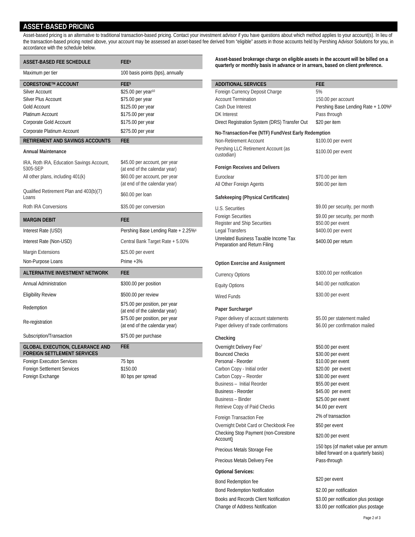#### **ASSET-BASED PRICING**

Asset-based pricing is an alternative to traditional transaction-based pricing. Contact your investment advisor if you have questions about which method applies to your account(s). In lieu of the transaction-based pricing noted above, your account may be assessed an asset-based fee derived from "eligible" assets in those accounts held by Pershing Advisor Solutions for you, in accordance with the schedule below.

| <b>ASSET-BASED FEE SCHEDULE</b>                                              | FEE <sup>9</sup>                                                | Asset-based brokerage charge on eligible assets in the account will be billed on a<br>quarterly or monthly basis in advance or in arrears, based on client preference. |                                                               |
|------------------------------------------------------------------------------|-----------------------------------------------------------------|------------------------------------------------------------------------------------------------------------------------------------------------------------------------|---------------------------------------------------------------|
| Maximum per tier                                                             | 100 basis points (bps), annually                                |                                                                                                                                                                        |                                                               |
| <b>CORESTONE™ ACCOUNT</b>                                                    | FEE <sup>5</sup>                                                | <b>ADDITIONAL SERVICES</b>                                                                                                                                             | <b>FEE</b>                                                    |
| <b>Silver Account</b>                                                        | \$25.00 per year <sup>10</sup>                                  | Foreign Currency Deposit Charge                                                                                                                                        | 5%                                                            |
| Silver Plus Account                                                          | \$75.00 per year                                                | <b>Account Termination</b>                                                                                                                                             | 150.00 per account                                            |
| <b>Gold Account</b>                                                          | \$125.00 per year                                               | Cash Due Interest                                                                                                                                                      | Pershing Base Lending Rate + 1.00%                            |
| Platinum Account                                                             | \$175.00 per year                                               | <b>DK</b> Interest                                                                                                                                                     | Pass through                                                  |
| Corporate Gold Account                                                       | \$175.00 per year                                               | Direct Registration System (DRS) Transfer Out                                                                                                                          | \$20 per item                                                 |
| Corporate Platinum Account                                                   | \$275.00 per year                                               | No-Transaction-Fee (NTF) FundVest Early Redemption                                                                                                                     |                                                               |
| RETIREMENT AND SAVINGS ACCOUNTS                                              | <b>FEE</b>                                                      | Non-Retirement Account                                                                                                                                                 | \$100.00 per event                                            |
| <b>Annual Maintenance</b>                                                    |                                                                 | Pershing LLC Retirement Account (as<br>custodian)                                                                                                                      | \$100.00 per event                                            |
| IRA, Roth IRA, Education Savings Account,<br>5305-SEP                        | \$45.00 per account, per year<br>(at end of the calendar year)  | <b>Foreign Receives and Delivers</b>                                                                                                                                   |                                                               |
| All other plans, including 401(k)                                            | \$60.00 per account, per year<br>(at end of the calendar year)  | Euroclear<br>All Other Foreign Agents                                                                                                                                  | \$70.00 per item<br>\$90.00 per item                          |
| Qualified Retirement Plan and 403(b)(7)<br>Loans                             | \$60.00 per loan                                                | Safekeeping (Physical Certificates)                                                                                                                                    |                                                               |
| Roth IRA Conversions                                                         | \$35.00 per conversion                                          | U.S. Securities                                                                                                                                                        | \$9.00 per security, per month                                |
| <b>MARGIN DEBIT</b>                                                          | <b>FEE</b>                                                      | <b>Foreign Securities</b><br>Register and Ship Securities                                                                                                              | \$9.00 per security, per month<br>\$50.00 per event           |
| Interest Rate (USD)                                                          | Pershing Base Lending Rate + 2.25%                              | <b>Legal Transfers</b>                                                                                                                                                 | \$400.00 per event                                            |
| Interest Rate (Non-USD)                                                      | Central Bank Target Rate + 5.00%                                | Unrelated Business Taxable Income Tax<br>Preparation and Return Filing                                                                                                 | \$400.00 per return                                           |
| <b>Margin Extensions</b>                                                     | \$25.00 per event                                               |                                                                                                                                                                        |                                                               |
| Non-Purpose Loans                                                            | Prime $+3%$                                                     | <b>Option Exercise and Assignment</b>                                                                                                                                  |                                                               |
| ALTERNATIVE INVESTMENT NETWORK                                               | <b>FEE</b>                                                      | <b>Currency Options</b>                                                                                                                                                | \$300.00 per notification                                     |
| <b>Annual Administration</b>                                                 | \$300.00 per position                                           | <b>Equity Options</b>                                                                                                                                                  | \$40.00 per notification                                      |
| <b>Eligibility Review</b>                                                    | \$500.00 per review                                             | <b>Wired Funds</b>                                                                                                                                                     | \$30.00 per event                                             |
| Redemption                                                                   | \$75.00 per position, per year<br>(at end of the calendar year) | Paper Surcharge <sup>8</sup>                                                                                                                                           |                                                               |
| Re-registration                                                              | \$75.00 per position, per year<br>(at end of the calendar year) | Paper delivery of account statements<br>Paper delivery of trade confirmations                                                                                          | \$5.00 per statement mailed<br>\$6.00 per confirmation mailed |
| Subscription/Transaction                                                     | \$75.00 per purchase                                            | Checking                                                                                                                                                               |                                                               |
| <b>GLOBAL EXECUTION, CLEARANCE AND</b><br><b>FOREIGN SETTLEMENT SERVICES</b> | <b>FEE</b>                                                      | Overnight Delivery Fee <sup>7</sup><br><b>Bounced Checks</b>                                                                                                           | \$50.00 per event<br>\$30.00 per event                        |
| <b>Foreign Execution Services</b>                                            | 75 bps                                                          | Personal - Reorder                                                                                                                                                     | \$10.00 per event                                             |
| <b>Foreign Settlement Services</b>                                           | \$150.00                                                        | Carbon Copy - Initial order                                                                                                                                            | \$20.00 per event                                             |
| Foreign Exchange                                                             | 80 bps per spread                                               | Carbon Copy - Reorder                                                                                                                                                  | \$30.00 per event                                             |

| <b>ADDITIONAL SERVICES</b><br>Foreign Currency Deposit Charge          | <b>FEE</b><br>5%                                                           |
|------------------------------------------------------------------------|----------------------------------------------------------------------------|
| <b>Account Termination</b>                                             | 150.00 per account                                                         |
| Cash Due Interest                                                      | Pershing Base Lending Rate + 1.00%6                                        |
| <b>DK</b> Interest                                                     | Pass through                                                               |
| Direct Registration System (DRS) Transfer Out                          | \$20 per item                                                              |
| No-Transaction-Fee (NTF) FundVest Early Redemption                     |                                                                            |
| Non-Retirement Account                                                 | \$100.00 per event                                                         |
| Pershing LLC Retirement Account (as                                    |                                                                            |
| custodian)                                                             | \$100.00 per event                                                         |
| <b>Foreign Receives and Delivers</b>                                   |                                                                            |
| Euroclear                                                              | \$70.00 per item                                                           |
| All Other Foreign Agents                                               | \$90.00 per item                                                           |
|                                                                        |                                                                            |
| Safekeeping (Physical Certificates)                                    |                                                                            |
| U.S. Securities                                                        | \$9.00 per security, per month                                             |
| <b>Foreign Securities</b>                                              | \$9.00 per security, per month                                             |
| Register and Ship Securities                                           | \$50.00 per event                                                          |
| Legal Transfers                                                        | \$400.00 per event                                                         |
| Unrelated Business Taxable Income Tax<br>Preparation and Return Filing | \$400.00 per return                                                        |
|                                                                        |                                                                            |
| <b>Option Exercise and Assignment</b>                                  |                                                                            |
| <b>Currency Options</b>                                                | \$300.00 per notification                                                  |
| <b>Equity Options</b>                                                  | \$40.00 per notification                                                   |
| <b>Wired Funds</b>                                                     | \$30.00 per event                                                          |
|                                                                        |                                                                            |
| Paper Surcharge <sup>8</sup>                                           |                                                                            |
| Paper delivery of account statements                                   | \$5.00 per statement mailed                                                |
| Paper delivery of trade confirmations                                  | \$6.00 per confirmation mailed                                             |
| Checking                                                               |                                                                            |
| Overnight Delivery Fee <sup>7</sup>                                    | \$50.00 per event                                                          |
| <b>Bounced Checks</b>                                                  | \$30.00 per event                                                          |
| Personal - Reorder                                                     | \$10.00 per event                                                          |
| Carbon Copy - Initial order                                            | \$20.00 per event                                                          |
| Carbon Copy - Reorder<br>Business - Initial Reorder                    | \$30.00 per event<br>\$55.00 per event                                     |
| <b>Business - Reorder</b>                                              | \$45.00 per event                                                          |
| <b>Business - Binder</b>                                               | \$25.00 per event                                                          |
| Retrieve Copy of Paid Checks                                           | \$4.00 per event                                                           |
|                                                                        | 2% of transaction                                                          |
| Foreign Transaction Fee<br>Overnight Debit Card or Checkbook Fee       | \$50 per event                                                             |
| Checking Stop Payment (non-Corestone                                   |                                                                            |
| Account)                                                               | \$20.00 per event                                                          |
| Precious Metals Storage Fee                                            | 150 bps (of market value per annum<br>billed forward on a quarterly basis) |
| Precious Metals Delivery Fee                                           | Pass-through                                                               |
| <b>Optional Services:</b>                                              |                                                                            |
| Bond Redemption fee                                                    | \$20 per event                                                             |
| <b>Bond Redemption Notification</b>                                    | \$2.00 per notification                                                    |

Books and Records Client Notification \$3.00 per notification plus postage Change of Address Notification \$3.00 per notification plus postage